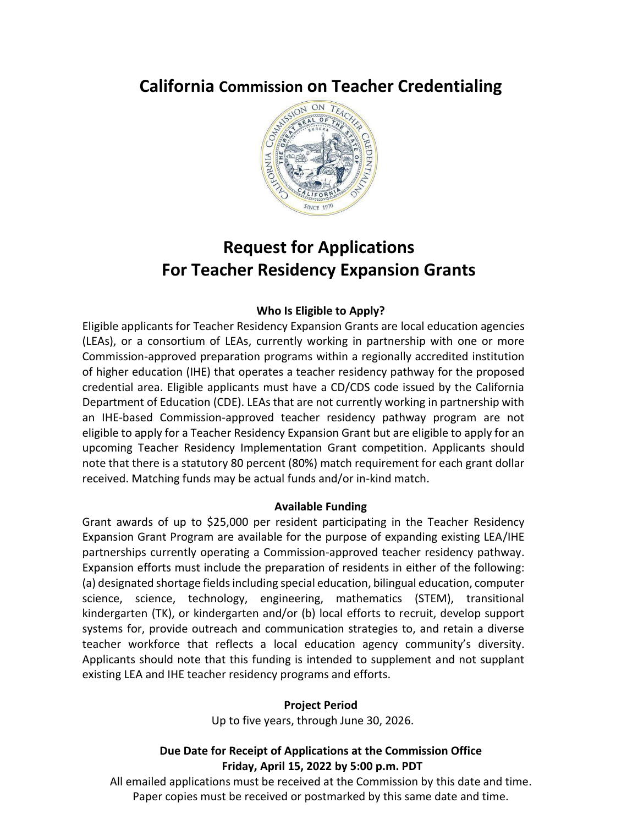# **California Commission on Teacher Credentialing**



# **Request for Applications For Teacher Residency Expansion Grants**

#### **Who Is Eligible to Apply?**

Eligible applicants for Teacher Residency Expansion Grants are local education agencies (LEAs), or a consortium of LEAs, currently working in partnership with one or more Commission-approved preparation programs within a regionally accredited institution of higher education (IHE) that operates a teacher residency pathway for the proposed credential area. Eligible applicants must have a CD/CDS code issued by the California Department of Education (CDE). LEAs that are not currently working in partnership with an IHE-based Commission-approved teacher residency pathway program are not eligible to apply for a Teacher Residency Expansion Grant but are eligible to apply for an upcoming Teacher Residency Implementation Grant competition. Applicants should note that there is a statutory 80 percent (80%) match requirement for each grant dollar received. Matching funds may be actual funds and/or in-kind match.

#### **Available Funding**

Grant awards of up to \$25,000 per resident participating in the Teacher Residency Expansion Grant Program are available for the purpose of expanding existing LEA/IHE partnerships currently operating a Commission-approved teacher residency pathway. Expansion efforts must include the preparation of residents in either of the following: (a) designated shortage fields including special education, bilingual education, computer science, science, technology, engineering, mathematics (STEM), transitional kindergarten (TK), or kindergarten and/or (b) local efforts to recruit, develop support systems for, provide outreach and communication strategies to, and retain a diverse teacher workforce that reflects a local education agency community's diversity. Applicants should note that this funding is intended to supplement and not supplant existing LEA and IHE teacher residency programs and efforts.

#### **Project Period**

Up to five years, through June 30, 2026.

### **Due Date for Receipt of Applications at the Commission Office Friday, April 15, 2022 by 5:00 p.m. PDT**

All emailed applications must be received at the Commission by this date and time. Paper copies must be received or postmarked by this same date and time.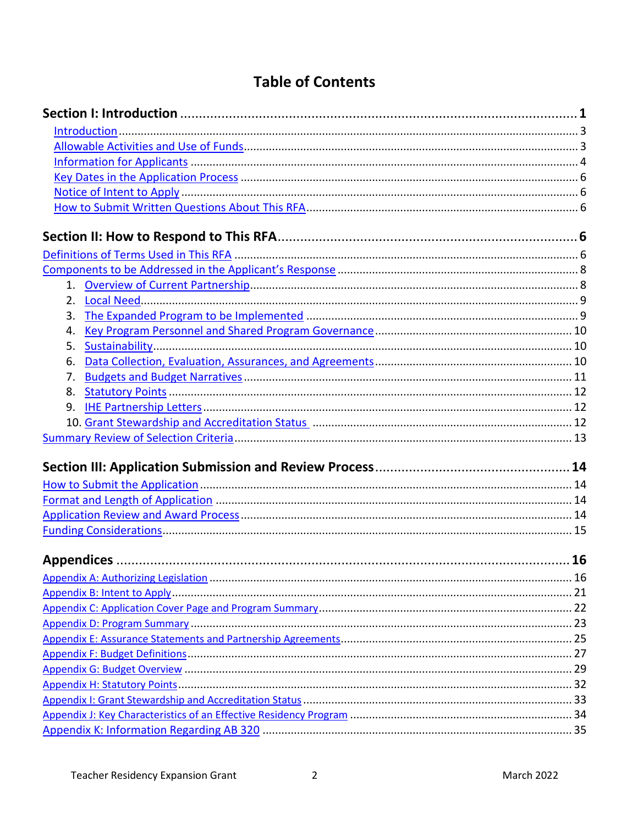# **Table of Contents**

| 2.                                                                                        |  |
|-------------------------------------------------------------------------------------------|--|
| 3.                                                                                        |  |
| 4.                                                                                        |  |
| 5.                                                                                        |  |
| 6.                                                                                        |  |
| 7.                                                                                        |  |
| 8.                                                                                        |  |
| 9.                                                                                        |  |
| 10. Grant Stewardship and Accreditation Status [11] Martin Martin Martin Martin Martin 12 |  |
|                                                                                           |  |
|                                                                                           |  |
|                                                                                           |  |
|                                                                                           |  |
|                                                                                           |  |
|                                                                                           |  |
|                                                                                           |  |
|                                                                                           |  |
|                                                                                           |  |
|                                                                                           |  |
|                                                                                           |  |
|                                                                                           |  |
|                                                                                           |  |
|                                                                                           |  |
|                                                                                           |  |
|                                                                                           |  |
|                                                                                           |  |
|                                                                                           |  |
|                                                                                           |  |
|                                                                                           |  |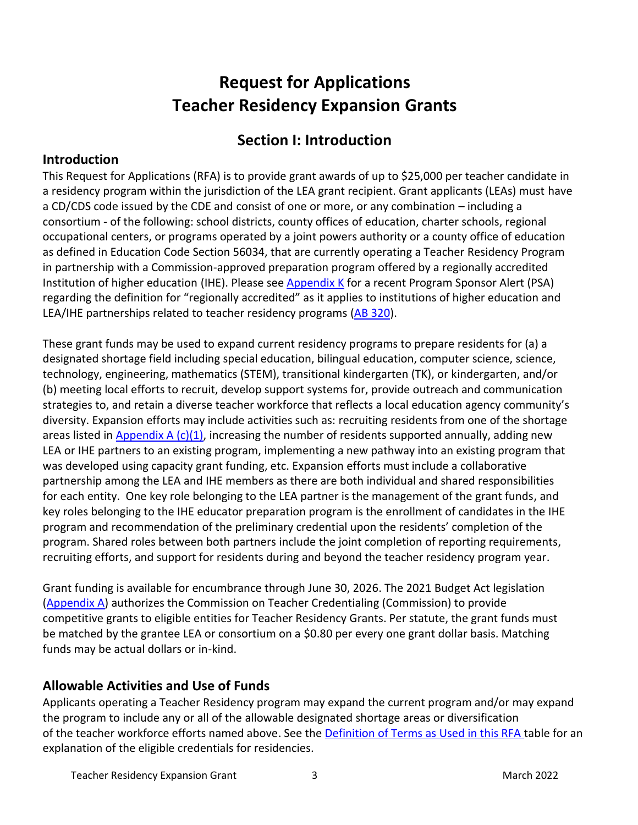# **Request for Applications Teacher Residency Expansion Grants**

# **Section I: Introduction**

### <span id="page-2-0"></span>**Introduction**

This Request for Applications (RFA) is to provide grant awards of up to \$25,000 per teacher candidate in a residency program within the jurisdiction of the LEA grant recipient. Grant applicants (LEAs) must have a CD/CDS code issued by the CDE and consist of one or more, or any combination – including a consortium - of the following: school districts, county offices of education, charter schools, regional occupational centers, or programs operated by a joint powers authority or a county office of education as defined in Education Code Section 56034, that are currently operating a Teacher Residency Program in partnership with a Commission-approved preparation program offered by a regionally accredited Institution of higher education (IHE). Please see [Appendix K](#page-34-0) for a recent Program Sponsor Alert (PSA) regarding the definition for "regionally accredited" as it applies to institutions of higher education and LEA/IHE partnerships related to teacher residency programs [\(AB 320\)](https://leginfo.legislature.ca.gov/faces/billTextClient.xhtml?bill_id=202120220AB320).

These grant funds may be used to expand current residency programs to prepare residents for (a) a designated shortage field including special education, bilingual education, computer science, science, technology, engineering, mathematics (STEM), transitional kindergarten (TK), or kindergarten, and/or (b) meeting local efforts to recruit, develop support systems for, provide outreach and communication strategies to, and retain a diverse teacher workforce that reflects a local education agency community's diversity. Expansion efforts may include activities such as: recruiting residents from one of the shortage areas listed in Appendix A  $(c)(1)$ , increasing the number of residents supported annually, adding new LEA or IHE partners to an existing program, implementing a new pathway into an existing program that was developed using capacity grant funding, etc. Expansion efforts must include a collaborative partnership among the LEA and IHE members as there are both individual and shared responsibilities for each entity. One key role belonging to the LEA partner is the management of the grant funds, and key roles belonging to the IHE educator preparation program is the enrollment of candidates in the IHE program and recommendation of the preliminary credential upon the residents' completion of the program. Shared roles between both partners include the joint completion of reporting requirements, recruiting efforts, and support for residents during and beyond the teacher residency program year.

Grant funding is available for encumbrance through June 30, 2026. The 2021 Budget Act legislation [\(Appendix A\)](#page-15-0) authorizes the Commission on Teacher Credentialing (Commission) to provide competitive grants to eligible entities for Teacher Residency Grants. Per statute, the grant funds must be matched by the grantee LEA or consortium on a \$0.80 per every one grant dollar basis. Matching funds may be actual dollars or in-kind.

### <span id="page-2-1"></span>**Allowable Activities and Use of Funds**

Applicants operating a Teacher Residency program may expand the current program and/or may expand the program to include any or all of the allowable designated shortage areas or diversification of the teacher workforce efforts named above. See the [Definition of Terms as Used in this RFA](#page-5-3) table for an explanation of the eligible credentials for residencies.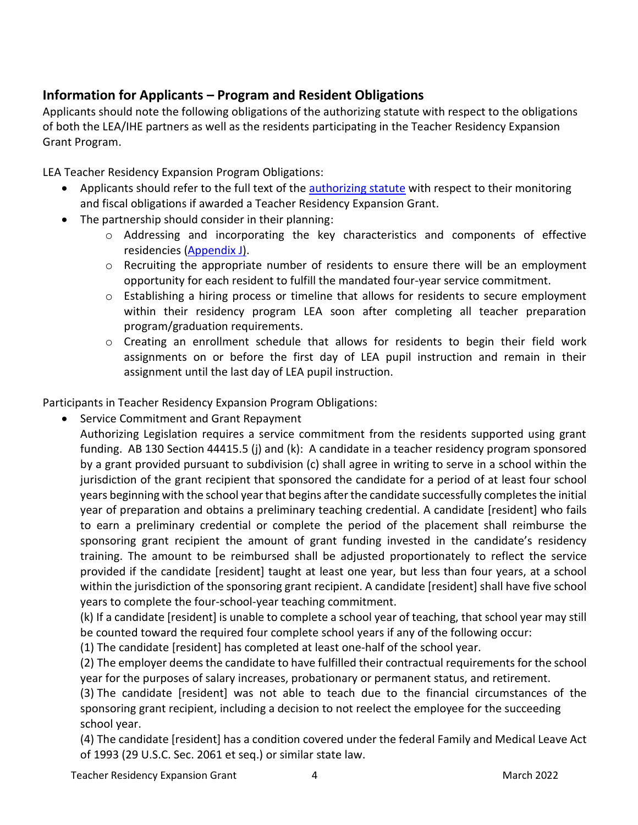### <span id="page-3-0"></span>**Information for Applicants – Program and Resident Obligations**

Applicants should note the following obligations of the authorizing statute with respect to the obligations of both the LEA/IHE partners as well as the residents participating in the Teacher Residency Expansion Grant Program.

LEA Teacher Residency Expansion Program Obligations:

- Applicants should refer to the full text of the [authorizing statute](#page-15-0) with respect to their monitoring and fiscal obligations if awarded a Teacher Residency Expansion Grant.
- The partnership should consider in their planning:
	- o Addressing and incorporating the key characteristics and components of effective residencies [\(Appendix J\)](#page-32-1).
	- $\circ$  Recruiting the appropriate number of residents to ensure there will be an employment opportunity for each resident to fulfill the mandated four-year service commitment.
	- o Establishing a hiring process or timeline that allows for residents to secure employment within their residency program LEA soon after completing all teacher preparation program/graduation requirements.
	- o Creating an enrollment schedule that allows for residents to begin their field work assignments on or before the first day of LEA pupil instruction and remain in their assignment until the last day of LEA pupil instruction.

Participants in Teacher Residency Expansion Program Obligations:

• Service Commitment and Grant Repayment

Authorizing Legislation requires a service commitment from the residents supported using grant funding. AB 130 Section 44415.5 (j) and (k): A candidate in a teacher residency program sponsored by a grant provided pursuant to subdivision (c) shall agree in writing to serve in a school within the jurisdiction of the grant recipient that sponsored the candidate for a period of at least four school years beginning with the school year that begins after the candidate successfully completes the initial year of preparation and obtains a preliminary teaching credential. A candidate [resident] who fails to earn a preliminary credential or complete the period of the placement shall reimburse the sponsoring grant recipient the amount of grant funding invested in the candidate's residency training. The amount to be reimbursed shall be adjusted proportionately to reflect the service provided if the candidate [resident] taught at least one year, but less than four years, at a school within the jurisdiction of the sponsoring grant recipient. A candidate [resident] shall have five school years to complete the four-school-year teaching commitment.

(k) If a candidate [resident] is unable to complete a school year of teaching, that school year may still be counted toward the required four complete school years if any of the following occur:

(1) The candidate [resident] has completed at least one-half of the school year.

(2) The employer deemsthe candidate to have fulfilled their contractual requirements for the school year for the purposes of salary increases, probationary or permanent status, and retirement.

(3) The candidate [resident] was not able to teach due to the financial circumstances of the sponsoring grant recipient, including a decision to not reelect the employee for the succeeding school year.

(4) The candidate [resident] has a condition covered under the federal Family and Medical Leave Act of 1993 (29 U.S.C. Sec. 2061 et seq.) or similar state law.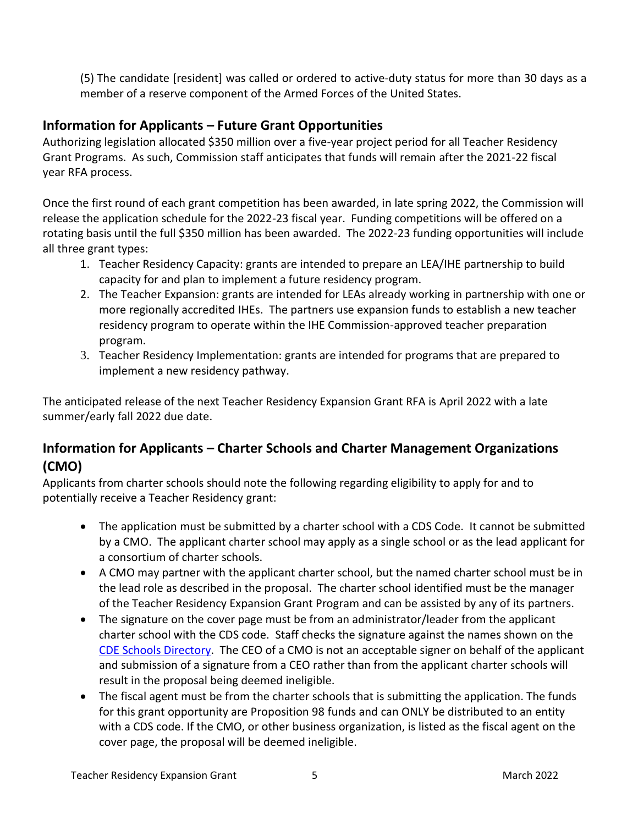(5) The candidate [resident] was called or ordered to active-duty status for more than 30 days as a member of a reserve component of the Armed Forces of the United States.

### **Information for Applicants – Future Grant Opportunities**

Authorizing legislation allocated \$350 million over a five-year project period for all Teacher Residency Grant Programs. As such, Commission staff anticipates that funds will remain after the 2021-22 fiscal year RFA process.

Once the first round of each grant competition has been awarded, in late spring 2022, the Commission will release the application schedule for the 2022-23 fiscal year. Funding competitions will be offered on a rotating basis until the full \$350 million has been awarded. The 2022-23 funding opportunities will include all three grant types:

- 1. Teacher Residency Capacity: grants are intended to prepare an LEA/IHE partnership to build capacity for and plan to implement a future residency program.
- 2. The Teacher Expansion: grants are intended for LEAs already working in partnership with one or more regionally accredited IHEs. The partners use expansion funds to establish a new teacher residency program to operate within the IHE Commission-approved teacher preparation program.
- 3. Teacher Residency Implementation: grants are intended for programs that are prepared to implement a new residency pathway.

The anticipated release of the next Teacher Residency Expansion Grant RFA is April 2022 with a late summer/early fall 2022 due date.

## **Information for Applicants – Charter Schools and Charter Management Organizations (CMO)**

Applicants from charter schools should note the following regarding eligibility to apply for and to potentially receive a Teacher Residency grant:

- The application must be submitted by a charter school with a CDS Code. It cannot be submitted by a CMO. The applicant charter school may apply as a single school or as the lead applicant for a consortium of charter schools.
- A CMO may partner with the applicant charter school, but the named charter school must be in the lead role as described in the proposal. The charter school identified must be the manager of the Teacher Residency Expansion Grant Program and can be assisted by any of its partners.
- The signature on the cover page must be from an administrator/leader from the applicant charter school with the CDS code. Staff checks the signature against the names shown on the [CDE Schools Directory.](https://www.cde.ca.gov/schooldirectory/) The CEO of a CMO is not an acceptable signer on behalf of the applicant and submission of a signature from a CEO rather than from the applicant charter schools will result in the proposal being deemed ineligible.
- The fiscal agent must be from the charter schools that is submitting the application. The funds for this grant opportunity are Proposition 98 funds and can ONLY be distributed to an entity with a CDS code. If the CMO, or other business organization, is listed as the fiscal agent on the cover page, the proposal will be deemed ineligible.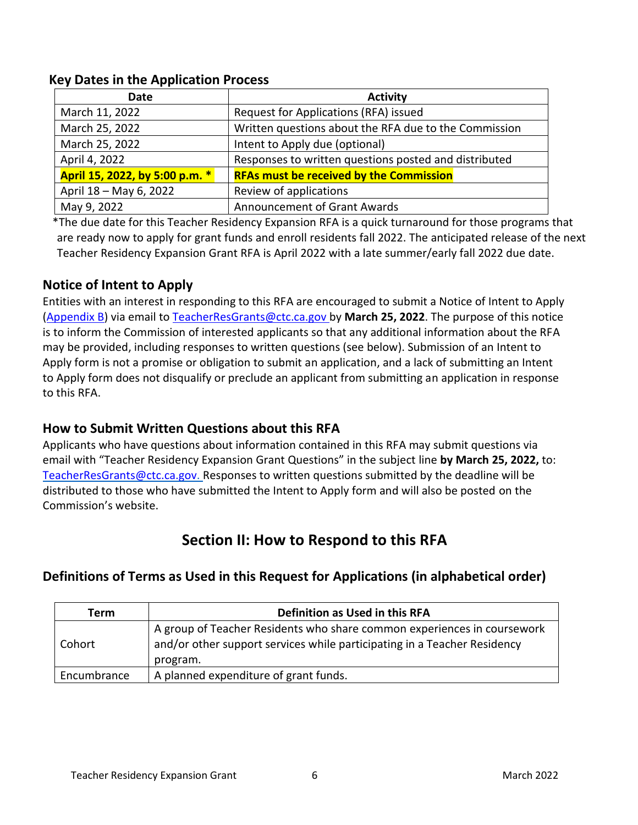| <b>Date</b>                    | <b>Activity</b>                                       |  |
|--------------------------------|-------------------------------------------------------|--|
| March 11, 2022                 | Request for Applications (RFA) issued                 |  |
| March 25, 2022                 | Written questions about the RFA due to the Commission |  |
| March 25, 2022                 | Intent to Apply due (optional)                        |  |
| April 4, 2022                  | Responses to written questions posted and distributed |  |
| April 15, 2022, by 5:00 p.m. * | <b>RFAs must be received by the Commission</b>        |  |
| April 18 - May 6, 2022         | Review of applications                                |  |
| May 9, 2022                    | <b>Announcement of Grant Awards</b>                   |  |

#### <span id="page-5-0"></span>**Key Dates in the Application Process**

 \*The due date for this Teacher Residency Expansion RFA is a quick turnaround for those programs that are ready now to apply for grant funds and enroll residents fall 2022. The anticipated release of the next Teacher Residency Expansion Grant RFA is April 2022 with a late summer/early fall 2022 due date.

## <span id="page-5-1"></span>**Notice of Intent to Apply**

Entities with an interest in responding to this RFA are encouraged to submit a Notice of Intent to Apply [\(Appendix B\)](#page-20-0) via email to [TeacherResGrants@ctc.ca.gov b](mailto:TeacherResGrants@ctc.ca.gov)y **March 25, 2022**. The purpose of this notice is to inform the Commission of interested applicants so that any additional information about the RFA may be provided, including responses to written questions (see below). Submission of an Intent to Apply form is not a promise or obligation to submit an application, and a lack of submitting an Intent to Apply form does not disqualify or preclude an applicant from submitting an application in response to this RFA.

### <span id="page-5-2"></span>**How to Submit Written Questions about this RFA**

Applicants who have questions about information contained in this RFA may submit questions via email with "Teacher Residency Expansion Grant Questions" in the subject line **by March 25, 2022,** to: [TeacherResGrants@ctc.ca.gov.](mailto:TeacherResGrants@ctc.ca.gov) Responses to written questions submitted by the deadline will be distributed to those who have submitted the Intent to Apply form and will also be posted on the Commission's website.

# **Section II: How to Respond to this RFA**

### <span id="page-5-3"></span>**Definitions of Terms as Used in this Request for Applications (in alphabetical order)**

| Term        | Definition as Used in this RFA                                                                                                                      |  |  |
|-------------|-----------------------------------------------------------------------------------------------------------------------------------------------------|--|--|
| Cohort      | A group of Teacher Residents who share common experiences in coursework<br>and/or other support services while participating in a Teacher Residency |  |  |
|             | program.                                                                                                                                            |  |  |
| Encumbrance | A planned expenditure of grant funds.                                                                                                               |  |  |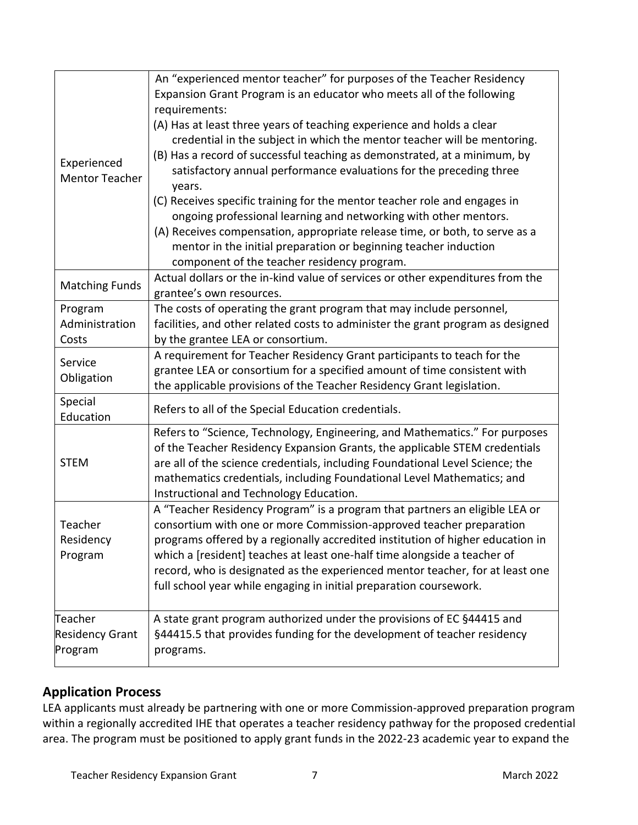| Experienced<br><b>Mentor Teacher</b>                                                                                                                                                                                                                  | An "experienced mentor teacher" for purposes of the Teacher Residency<br>Expansion Grant Program is an educator who meets all of the following<br>requirements:<br>(A) Has at least three years of teaching experience and holds a clear<br>credential in the subject in which the mentor teacher will be mentoring.<br>(B) Has a record of successful teaching as demonstrated, at a minimum, by<br>satisfactory annual performance evaluations for the preceding three<br>years.<br>(C) Receives specific training for the mentor teacher role and engages in<br>ongoing professional learning and networking with other mentors.<br>(A) Receives compensation, appropriate release time, or both, to serve as a<br>mentor in the initial preparation or beginning teacher induction<br>component of the teacher residency program. |
|-------------------------------------------------------------------------------------------------------------------------------------------------------------------------------------------------------------------------------------------------------|---------------------------------------------------------------------------------------------------------------------------------------------------------------------------------------------------------------------------------------------------------------------------------------------------------------------------------------------------------------------------------------------------------------------------------------------------------------------------------------------------------------------------------------------------------------------------------------------------------------------------------------------------------------------------------------------------------------------------------------------------------------------------------------------------------------------------------------|
| <b>Matching Funds</b>                                                                                                                                                                                                                                 | Actual dollars or the in-kind value of services or other expenditures from the<br>grantee's own resources.                                                                                                                                                                                                                                                                                                                                                                                                                                                                                                                                                                                                                                                                                                                            |
| Program<br>Administration<br>Costs                                                                                                                                                                                                                    | The costs of operating the grant program that may include personnel,<br>facilities, and other related costs to administer the grant program as designed<br>by the grantee LEA or consortium.                                                                                                                                                                                                                                                                                                                                                                                                                                                                                                                                                                                                                                          |
| A requirement for Teacher Residency Grant participants to teach for the<br>Service<br>grantee LEA or consortium for a specified amount of time consistent with<br>Obligation<br>the applicable provisions of the Teacher Residency Grant legislation. |                                                                                                                                                                                                                                                                                                                                                                                                                                                                                                                                                                                                                                                                                                                                                                                                                                       |
| Special<br>Education                                                                                                                                                                                                                                  | Refers to all of the Special Education credentials.                                                                                                                                                                                                                                                                                                                                                                                                                                                                                                                                                                                                                                                                                                                                                                                   |
| <b>STEM</b>                                                                                                                                                                                                                                           | Refers to "Science, Technology, Engineering, and Mathematics." For purposes<br>of the Teacher Residency Expansion Grants, the applicable STEM credentials<br>are all of the science credentials, including Foundational Level Science; the<br>mathematics credentials, including Foundational Level Mathematics; and<br>Instructional and Technology Education.                                                                                                                                                                                                                                                                                                                                                                                                                                                                       |
| Teacher<br>Residency<br>Program                                                                                                                                                                                                                       | A "Teacher Residency Program" is a program that partners an eligible LEA or<br>consortium with one or more Commission-approved teacher preparation<br>programs offered by a regionally accredited institution of higher education in<br>which a [resident] teaches at least one-half time alongside a teacher of<br>record, who is designated as the experienced mentor teacher, for at least one<br>full school year while engaging in initial preparation coursework.                                                                                                                                                                                                                                                                                                                                                               |
| Teacher<br><b>Residency Grant</b><br>Program                                                                                                                                                                                                          | A state grant program authorized under the provisions of EC §44415 and<br>§44415.5 that provides funding for the development of teacher residency<br>programs.                                                                                                                                                                                                                                                                                                                                                                                                                                                                                                                                                                                                                                                                        |

# **Application Process**

LEA applicants must already be partnering with one or more Commission-approved preparation program within a regionally accredited IHE that operates a teacher residency pathway for the proposed credential area. The program must be positioned to apply grant funds in the 2022-23 academic year to expand the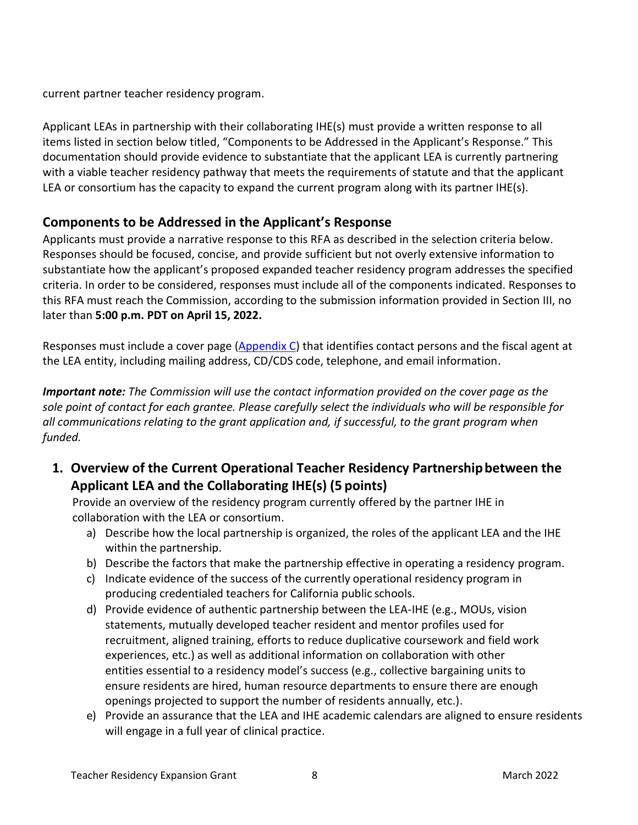current partner teacher residency program.

Applicant LEAs in partnership with their collaborating IHE(s) must provide a written response to all items listed in section below titled, "Components to be Addressed in the Applicant's Response." This documentation should provide evidence to substantiate that the applicant LEA is currently partnering with a viable teacher residency pathway that meets the requirements of statute and that the applicant LEA or consortium has the capacity to expand the current program along with its partner IHE(s).

### <span id="page-7-0"></span>**Components to be Addressed in the Applicant's Response**

Applicants must provide a narrative response to this RFA as described in the selection criteria below. Responses should be focused, concise, and provide sufficient but not overly extensive information to substantiate how the applicant's proposed expanded teacher residency program addresses the specified criteria. In order to be considered, responses must include all of the components indicated. Responses to this RFA must reach the Commission, according to the submission information provided in Section III, no later than **5:00 p.m. PDT on April 15, 2022.**

Responses must include a cover page [\(Appendix C\)](#page-21-0) that identifies contact persons and the fiscal agent at the LEA entity, including mailing address, CD/CDS code, telephone, and email information.

*Important note: The Commission will use the contact information provided on the cover page as the sole point of contact for each grantee. Please carefully select the individuals who will be responsible for all communications relating to the grant application and, if successful, to the grant program when funded.*

<span id="page-7-1"></span>**1. Overview of the Current Operational Teacher Residency Partnershipbetween the Applicant LEA and the Collaborating IHE(s) (5 points)**

Provide an overview of the residency program currently offered by the partner IHE in collaboration with the LEA or consortium.

- a) Describe how the local partnership is organized, the roles of the applicant LEA and the IHE within the partnership.
- b) Describe the factors that make the partnership effective in operating a residency program.
- c) Indicate evidence of the success of the currently operational residency program in producing credentialed teachers for California public schools.
- d) Provide evidence of authentic partnership between the LEA-IHE (e.g., MOUs, vision statements, mutually developed teacher resident and mentor profiles used for recruitment, aligned training, efforts to reduce duplicative coursework and field work experiences, etc.) as well as additional information on collaboration with other entities essential to a residency model's success (e.g., collective bargaining units to ensure residents are hired, human resource departments to ensure there are enough openings projected to support the number of residents annually, etc.).
- e) Provide an assurance that the LEA and IHE academic calendars are aligned to ensure residents will engage in a full year of clinical practice.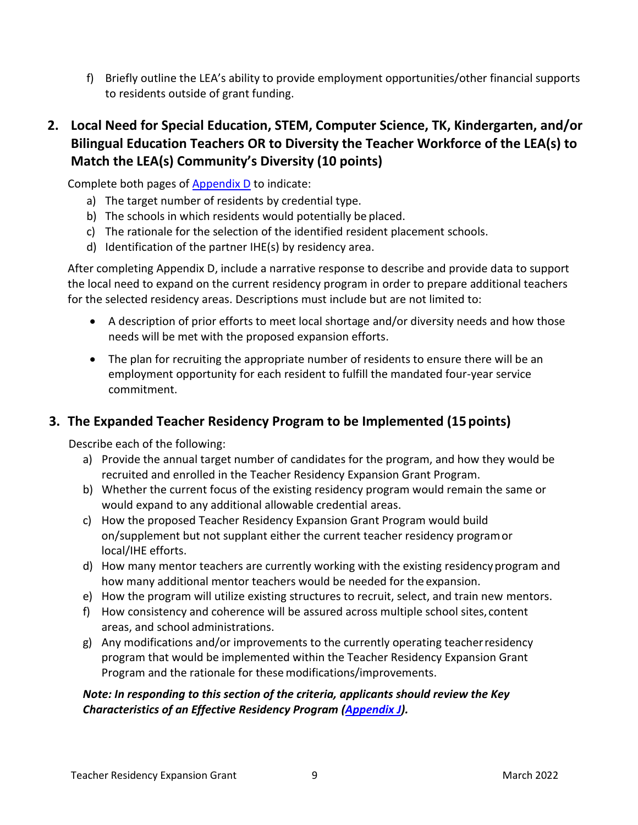f) Briefly outline the LEA's ability to provide employment opportunities/other financial supports to residents outside of grant funding.

## <span id="page-8-0"></span>**2. Local Need for Special Education, STEM, Computer Science, TK, Kindergarten, and/or Bilingual Education Teachers OR to Diversity the Teacher Workforce of the LEA(s) to Match the LEA(s) Community's Diversity (10 points)**

Complete both pages of [Appendix D](#page-22-0) to indicate:

- a) The target number of residents by credential type.
- b) The schools in which residents would potentially be placed.
- c) The rationale for the selection of the identified resident placement schools.
- d) Identification of the partner IHE(s) by residency area.

After completing Appendix D, include a narrative response to describe and provide data to support the local need to expand on the current residency program in order to prepare additional teachers for the selected residency areas. Descriptions must include but are not limited to:

- A description of prior efforts to meet local shortage and/or diversity needs and how those needs will be met with the proposed expansion efforts.
- The plan for recruiting the appropriate number of residents to ensure there will be an employment opportunity for each resident to fulfill the mandated four-year service commitment.

### <span id="page-8-1"></span>**3. The Expanded Teacher Residency Program to be Implemented (15points)**

Describe each of the following:

- a) Provide the annual target number of candidates for the program, and how they would be recruited and enrolled in the Teacher Residency Expansion Grant Program.
- b) Whether the current focus of the existing residency program would remain the same or would expand to any additional allowable credential areas.
- c) How the proposed Teacher Residency Expansion Grant Program would build on/supplement but not supplant either the current teacher residency programor local/IHE efforts.
- d) How many mentor teachers are currently working with the existing residencyprogram and how many additional mentor teachers would be needed for the expansion.
- e) How the program will utilize existing structures to recruit, select, and train new mentors.
- f) How consistency and coherence will be assured across multiple school sites, content areas, and school administrations.
- g) Any modifications and/or improvements to the currently operating teacherresidency program that would be implemented within the Teacher Residency Expansion Grant Program and the rationale for thesemodifications/improvements.

#### *Note: In responding to this section of the criteria, applicants should review the Key Characteristics of an Effective Residency Program [\(Appendix J\)](#page-32-1).*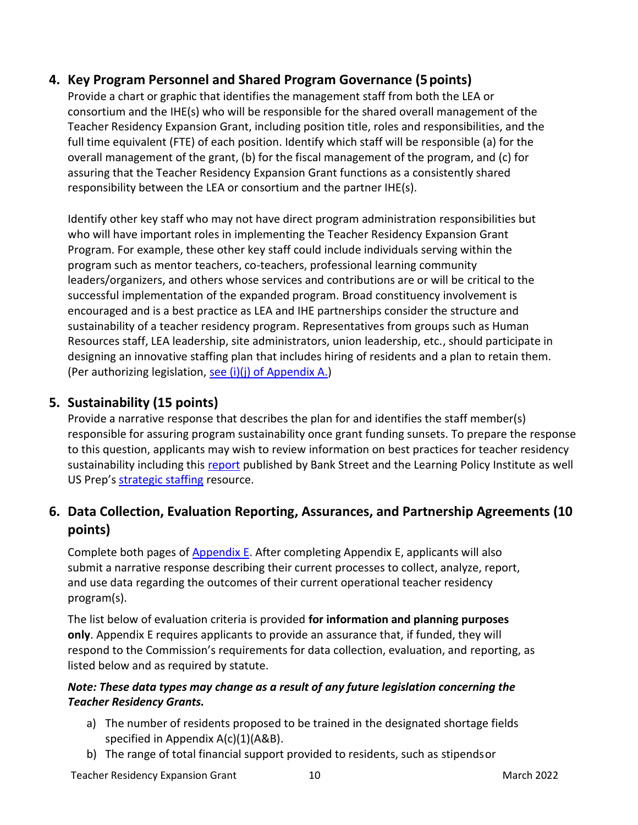### <span id="page-9-0"></span>**4. Key Program Personnel and Shared Program Governance (5points)**

Provide a chart or graphic that identifies the management staff from both the LEA or consortium and the IHE(s) who will be responsible for the shared overall management of the Teacher Residency Expansion Grant, including position title, roles and responsibilities, and the full time equivalent (FTE) of each position. Identify which staff will be responsible (a) for the overall management of the grant, (b) for the fiscal management of the program, and (c) for assuring that the Teacher Residency Expansion Grant functions as a consistently shared responsibility between the LEA or consortium and the partner IHE(s).

Identify other key staff who may not have direct program administration responsibilities but who will have important roles in implementing the Teacher Residency Expansion Grant Program. For example, these other key staff could include individuals serving within the program such as mentor teachers, co-teachers, professional learning community leaders/organizers, and others whose services and contributions are or will be critical to the successful implementation of the expanded program. Broad constituency involvement is encouraged and is a best practice as LEA and IHE partnerships consider the structure and sustainability of a teacher residency program. Representatives from groups such as Human Resources staff, LEA leadership, site administrators, union leadership, etc., should participate in designing an innovative staffing plan that includes hiring of residents and a plan to retain them. (Per authorizing legislation, [see \(i\)\(j\) of Appendix A.](#page-17-0))

### <span id="page-9-1"></span>**5. Sustainability (15 points)**

Provide a narrative response that describes the plan for and identifies the staff member(s) responsible for assuring program sustainability once grant funding sunsets. To prepare the response to this question, applicants may wish to review information on best practices for teacher residency sustainability including this [report](https://learningpolicyinstitute.org/sites/default/files/product-files/EPL_CA_Teacher_Residencies_2020_REPORT.pdf) published by Bank Street and the Learning Policy Institute as well US Prep's [strategic staffing](https://www.usprepnational.center/strategic-staffing?utm_source=MASTER+LIST&utm_campaign=6f0d028cde-EMAIL_CAMPAIGN_2018_10_18_06_01_COPY_01&utm_medium=email&utm_term=0_f35040a270-6f0d028cde-) resource.

## <span id="page-9-2"></span>**6. Data Collection, Evaluation Reporting, Assurances, and Partnership Agreements (10 points)**

Complete both pages of [Appendix E.](#page-24-0) After completing Appendix E, applicants will also submit a narrative response describing their current processes to collect, analyze, report, and use data regarding the outcomes of their current operational teacher residency program(s).

The list below of evaluation criteria is provided **for information and planning purposes only**. Appendix E requires applicants to provide an assurance that, if funded, they will respond to the Commission's requirements for data collection, evaluation, and reporting, as listed below and as required by statute.

#### *Note: These data types may change as a result of any future legislation concerning the Teacher Residency Grants.*

- a) The number of residents proposed to be trained in the designated shortage fields specified in Appendix A(c)(1)(A&B).
- b) The range of total financial support provided to residents, such as stipendsor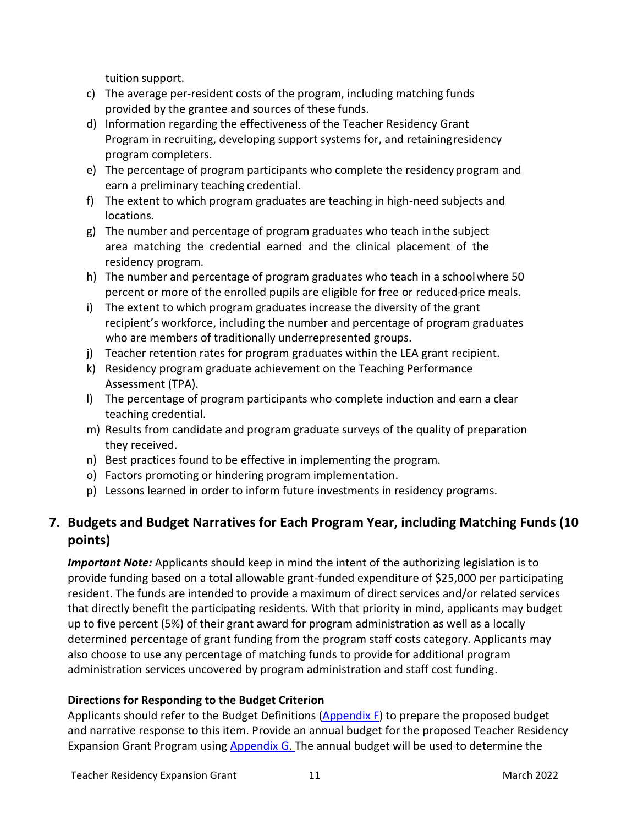tuition support.

- c) The average per-resident costs of the program, including matching funds provided by the grantee and sources of these funds.
- d) Information regarding the effectiveness of the Teacher Residency Grant Program in recruiting, developing support systems for, and retainingresidency program completers.
- e) The percentage of program participants who complete the residencyprogram and earn a preliminary teaching credential.
- f) The extent to which program graduates are teaching in high-need subjects and locations.
- g) The number and percentage of program graduates who teach in the subject area matching the credential earned and the clinical placement of the residency program.
- h) The number and percentage of program graduates who teach in a schoolwhere 50 percent or more of the enrolled pupils are eligible for free or reduced-price meals.
- i) The extent to which program graduates increase the diversity of the grant recipient's workforce, including the number and percentage of program graduates who are members of traditionally underrepresented groups.
- j) Teacher retention rates for program graduates within the LEA grant recipient.
- k) Residency program graduate achievement on the Teaching Performance Assessment (TPA).
- l) The percentage of program participants who complete induction and earn a clear teaching credential.
- m) Results from candidate and program graduate surveys of the quality of preparation they received.
- n) Best practices found to be effective in implementing the program.
- o) Factors promoting or hindering program implementation.
- p) Lessons learned in order to inform future investments in residency programs.

# <span id="page-10-0"></span>**7. Budgets and Budget Narratives for Each Program Year, including Matching Funds (10 points)**

*Important Note:* Applicants should keep in mind the intent of the authorizing legislation is to provide funding based on a total allowable grant-funded expenditure of \$25,000 per participating resident. The funds are intended to provide a maximum of direct services and/or related services that directly benefit the participating residents. With that priority in mind, applicants may budget up to five percent (5%) of their grant award for program administration as well as a locally determined percentage of grant funding from the program staff costs category. Applicants may also choose to use any percentage of matching funds to provide for additional program administration services uncovered by program administration and staff cost funding.

#### **Directions for Responding to the Budget Criterion**

Applicants should refer to the Budget Definitions [\(Appendix F\)](#page-26-0) to prepare the proposed budget and narrative response to this item. Provide an annual budget for the proposed Teacher Residency Expansion Grant Program using **Appendix G.** The annual budget will be used to determine the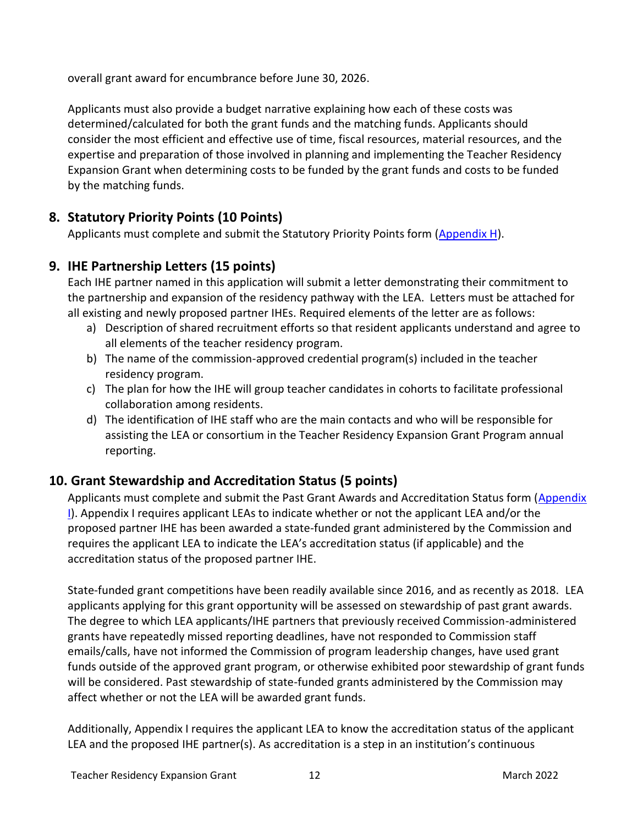overall grant award for encumbrance before June 30, 2026.

Applicants must also provide a budget narrative explaining how each of these costs was determined/calculated for both the grant funds and the matching funds. Applicants should consider the most efficient and effective use of time, fiscal resources, material resources, and the expertise and preparation of those involved in planning and implementing the Teacher Residency Expansion Grant when determining costs to be funded by the grant funds and costs to be funded by the matching funds.

# <span id="page-11-0"></span>**8. Statutory Priority Points (10 Points)**

Applicants must complete and submit the Statutory Priority Points form [\(Appendix H\)](#page-31-0).

# **9. IHE Partnership Letters (15 points)**

Each IHE partner named in this application will submit a letter demonstrating their commitment to the partnership and expansion of the residency pathway with the LEA. Letters must be attached for all existing and newly proposed partner IHEs. Required elements of the letter are as follows:

- a) Description of shared recruitment efforts so that resident applicants understand and agree to all elements of the teacher residency program.
- b) The name of the commission-approved credential program(s) included in the teacher residency program.
- c) The plan for how the IHE will group teacher candidates in cohorts to facilitate professional collaboration among residents.
- d) The identification of IHE staff who are the main contacts and who will be responsible for assisting the LEA or consortium in the Teacher Residency Expansion Grant Program annual reporting.

# <span id="page-11-1"></span>**10. Grant Stewardship and Accreditation Status (5 points)**

Applicants must complete and submit the Past Grant Awards and Accreditation Status form (Appendix [I\)](#page-32-0). Appendix I requires applicant LEAs to indicate whether or not the applicant LEA and/or the proposed partner IHE has been awarded a state-funded grant administered by the Commission and requires the applicant LEA to indicate the LEA's accreditation status (if applicable) and the accreditation status of the proposed partner IHE.

State-funded grant competitions have been readily available since 2016, and as recently as 2018. LEA applicants applying for this grant opportunity will be assessed on stewardship of past grant awards. The degree to which LEA applicants/IHE partners that previously received Commission-administered grants have repeatedly missed reporting deadlines, have not responded to Commission staff emails/calls, have not informed the Commission of program leadership changes, have used grant funds outside of the approved grant program, or otherwise exhibited poor stewardship of grant funds will be considered. Past stewardship of state-funded grants administered by the Commission may affect whether or not the LEA will be awarded grant funds.

Additionally, Appendix I requires the applicant LEA to know the accreditation status of the applicant LEA and the proposed IHE partner(s). As accreditation is a step in an institution's continuous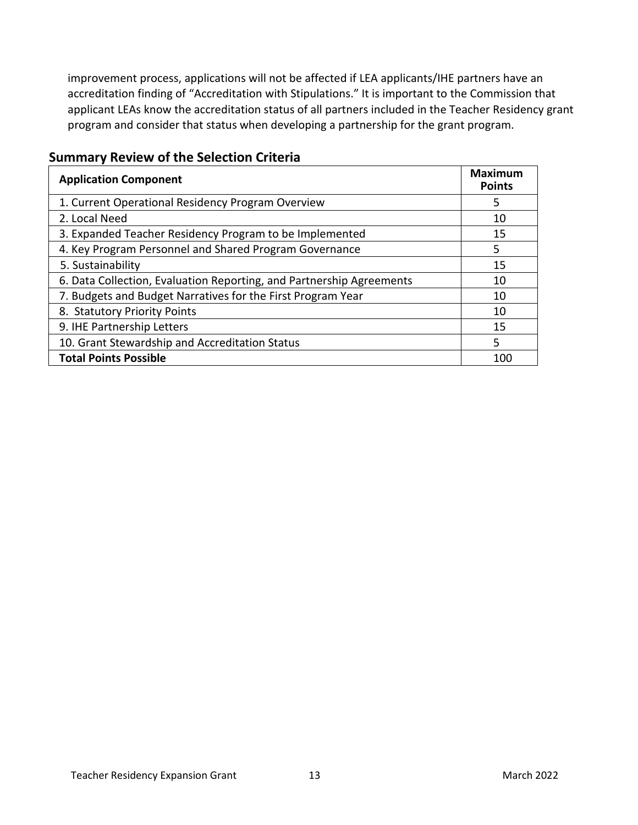improvement process, applications will not be affected if LEA applicants/IHE partners have an accreditation finding of "Accreditation with Stipulations." It is important to the Commission that applicant LEAs know the accreditation status of all partners included in the Teacher Residency grant program and consider that status when developing a partnership for the grant program.

| <b>Application Component</b>                                         | <b>Maximum</b><br><b>Points</b> |
|----------------------------------------------------------------------|---------------------------------|
| 1. Current Operational Residency Program Overview                    | 5                               |
| 2. Local Need                                                        | 10                              |
| 3. Expanded Teacher Residency Program to be Implemented              | 15                              |
| 4. Key Program Personnel and Shared Program Governance               | 5                               |
| 5. Sustainability                                                    | 15                              |
| 6. Data Collection, Evaluation Reporting, and Partnership Agreements | 10                              |
| 7. Budgets and Budget Narratives for the First Program Year          | 10                              |
| 8. Statutory Priority Points                                         | 10                              |
| 9. IHE Partnership Letters                                           | 15                              |
| 10. Grant Stewardship and Accreditation Status                       | 5                               |
| <b>Total Points Possible</b>                                         | 100                             |

### <span id="page-12-0"></span>**Summary Review of the Selection Criteria**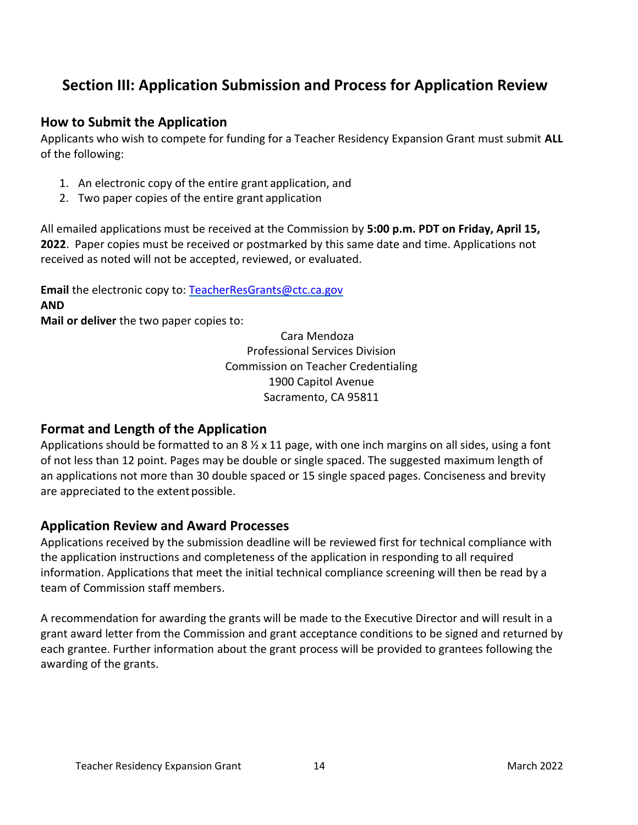# **Section III: Application Submission and Process for Application Review**

#### **How to Submit the Application**

Applicants who wish to compete for funding for a Teacher Residency Expansion Grant must submit **ALL**  of the following:

- 1. An electronic copy of the entire grant application, and
- 2. Two paper copies of the entire grant application

All emailed applications must be received at the Commission by **5:00 p.m. PDT on Friday, April 15, 2022**. Paper copies must be received or postmarked by this same date and time. Applications not received as noted will not be accepted, reviewed, or evaluated.

**Email** the electronic copy to: [TeacherResGrants@ctc.ca.gov](mailto:TeacherResGrants@ctc.ca.gov) **AND** 

**Mail or deliver** the two paper copies to:

Cara Mendoza Professional Services Division Commission on Teacher Credentialing 1900 Capitol Avenue Sacramento, CA 95811

### <span id="page-13-0"></span>**Format and Length of the Application**

Applications should be formatted to an  $8\frac{1}{2} \times 11$  page, with one inch margins on all sides, using a font of not less than 12 point. Pages may be double or single spaced. The suggested maximum length of an applications not more than 30 double spaced or 15 single spaced pages. Conciseness and brevity are appreciated to the extent possible.

### <span id="page-13-1"></span>**Application Review and Award Processes**

Applications received by the submission deadline will be reviewed first for technical compliance with the application instructions and completeness of the application in responding to all required information. Applications that meet the initial technical compliance screening will then be read by a team of Commission staff members.

A recommendation for awarding the grants will be made to the Executive Director and will result in a grant award letter from the Commission and grant acceptance conditions to be signed and returned by each grantee. Further information about the grant process will be provided to grantees following the awarding of the grants.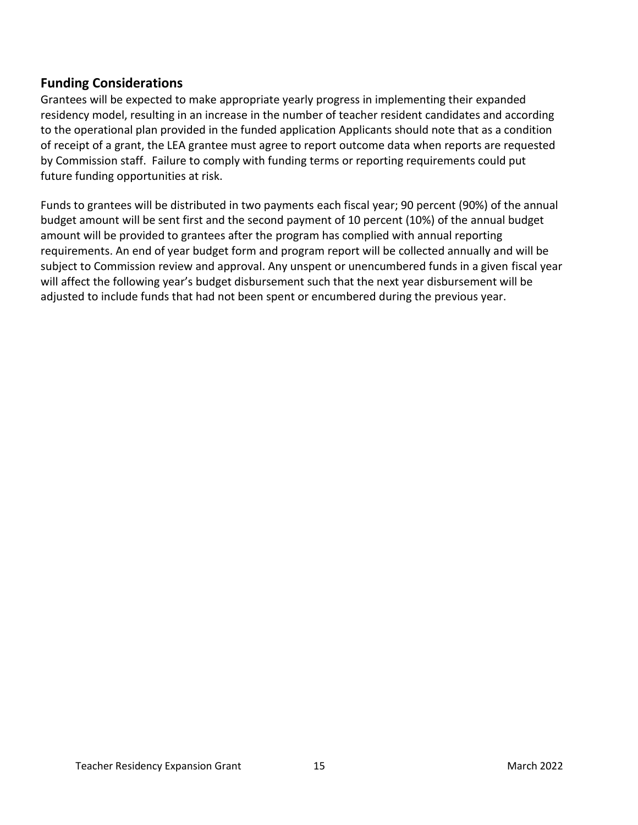### <span id="page-14-0"></span>**Funding Considerations**

Grantees will be expected to make appropriate yearly progress in implementing their expanded residency model, resulting in an increase in the number of teacher resident candidates and according to the operational plan provided in the funded application Applicants should note that as a condition of receipt of a grant, the LEA grantee must agree to report outcome data when reports are requested by Commission staff. Failure to comply with funding terms or reporting requirements could put future funding opportunities at risk.

Funds to grantees will be distributed in two payments each fiscal year; 90 percent (90%) of the annual budget amount will be sent first and the second payment of 10 percent (10%) of the annual budget amount will be provided to grantees after the program has complied with annual reporting requirements. An end of year budget form and program report will be collected annually and will be subject to Commission review and approval. Any unspent or unencumbered funds in a given fiscal year will affect the following year's budget disbursement such that the next year disbursement will be adjusted to include funds that had not been spent or encumbered during the previous year.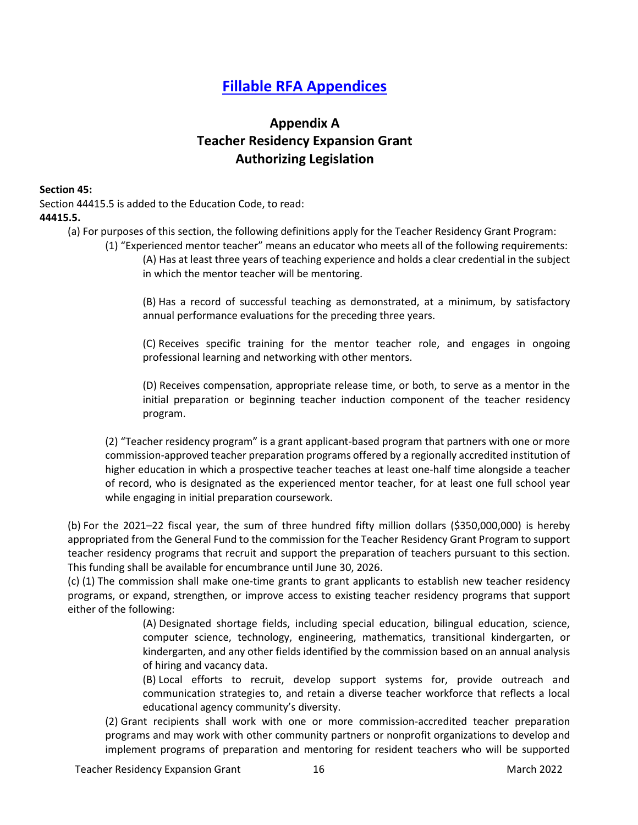# **[Fillable RFA Appendices](https://public.ctc.ca.gov/Grants/)**

## **Appendix A Teacher Residency Expansion Grant Authorizing Legislation**

#### <span id="page-15-0"></span>**Section 45:**

Section 44415.5 is added to the Education Code, to read: **44415.5.**

- (a) For purposes of this section, the following definitions apply for the Teacher Residency Grant Program:
	- (1) "Experienced mentor teacher" means an educator who meets all of the following requirements: (A) Has at least three years of teaching experience and holds a clear credential in the subject in which the mentor teacher will be mentoring.

(B) Has a record of successful teaching as demonstrated, at a minimum, by satisfactory annual performance evaluations for the preceding three years.

(C) Receives specific training for the mentor teacher role, and engages in ongoing professional learning and networking with other mentors.

(D) Receives compensation, appropriate release time, or both, to serve as a mentor in the initial preparation or beginning teacher induction component of the teacher residency program.

<span id="page-15-2"></span>(2) "Teacher residency program" is a grant applicant-based program that partners with one or more commission-approved teacher preparation programs offered by a regionally accredited institution of higher education in which a prospective teacher teaches at least one-half time alongside a teacher of record, who is designated as the experienced mentor teacher, for at least one full school year while engaging in initial preparation coursework.

(b) For the 2021–22 fiscal year, the sum of three hundred fifty million dollars (\$350,000,000) is hereby appropriated from the General Fund to the commission for the Teacher Residency Grant Program to support teacher residency programs that recruit and support the preparation of teachers pursuant to this section. This funding shall be available for encumbrance until June 30, 2026.

<span id="page-15-1"></span>(c) (1) The commission shall make one-time grants to grant applicants to establish new teacher residency programs, or expand, strengthen, or improve access to existing teacher residency programs that support either of the following:

> (A) Designated shortage fields, including special education, bilingual education, science, computer science, technology, engineering, mathematics, transitional kindergarten, or kindergarten, and any other fields identified by the commission based on an annual analysis of hiring and vacancy data.

> (B) Local efforts to recruit, develop support systems for, provide outreach and communication strategies to, and retain a diverse teacher workforce that reflects a local educational agency community's diversity.

(2) Grant recipients shall work with one or more commission-accredited teacher preparation programs and may work with other community partners or nonprofit organizations to develop and implement programs of preparation and mentoring for resident teachers who will be supported

Teacher Residency Expansion Grant 16 March 2022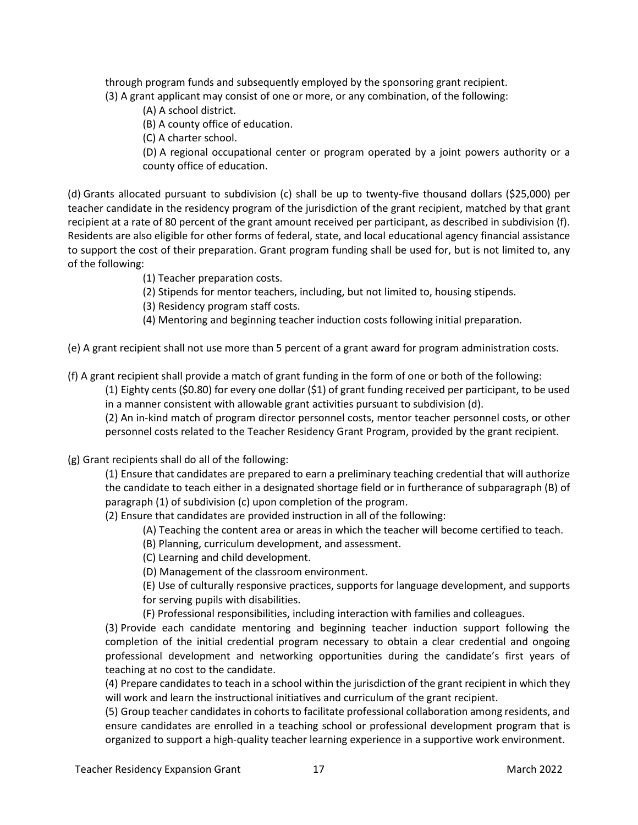through program funds and subsequently employed by the sponsoring grant recipient. (3) A grant applicant may consist of one or more, or any combination, of the following:

- (A) A school district.
- (B) A county office of education.
- (C) A charter school.

(D) A regional occupational center or program operated by a joint powers authority or a county office of education.

(d) Grants allocated pursuant to subdivision (c) shall be up to twenty-five thousand dollars (\$25,000) per teacher candidate in the residency program of the jurisdiction of the grant recipient, matched by that grant recipient at a rate of 80 percent of the grant amount received per participant, as described in subdivision (f). Residents are also eligible for other forms of federal, state, and local educational agency financial assistance to support the cost of their preparation. Grant program funding shall be used for, but is not limited to, any of the following:

- (1) Teacher preparation costs.
- (2) Stipends for mentor teachers, including, but not limited to, housing stipends.
- (3) Residency program staff costs.
- (4) Mentoring and beginning teacher induction costs following initial preparation.

(e) A grant recipient shall not use more than 5 percent of a grant award for program administration costs.

(f) A grant recipient shall provide a match of grant funding in the form of one or both of the following:

(1) Eighty cents (\$0.80) for every one dollar (\$1) of grant funding received per participant, to be used in a manner consistent with allowable grant activities pursuant to subdivision (d).

(2) An in-kind match of program director personnel costs, mentor teacher personnel costs, or other personnel costs related to the Teacher Residency Grant Program, provided by the grant recipient.

#### (g) Grant recipients shall do all of the following:

(1) Ensure that candidates are prepared to earn a preliminary teaching credential that will authorize the candidate to teach either in a designated shortage field or in furtherance of subparagraph (B) of paragraph (1) of subdivision (c) upon completion of the program.

(2) Ensure that candidates are provided instruction in all of the following:

- (A) Teaching the content area or areas in which the teacher will become certified to teach.
- (B) Planning, curriculum development, and assessment.
- (C) Learning and child development.

(D) Management of the classroom environment.

(E) Use of culturally responsive practices, supports for language development, and supports for serving pupils with disabilities.

(F) Professional responsibilities, including interaction with families and colleagues.

<span id="page-16-0"></span>(3) Provide each candidate mentoring and beginning teacher induction support following the completion of the initial credential program necessary to obtain a clear credential and ongoing professional development and networking opportunities during the candidate's first years of teaching at no cost to the candidate.

(4) Prepare candidates to teach in a school within the jurisdiction of the grant recipient in which they will work and learn the instructional initiatives and curriculum of the grant recipient.

(5) Group teacher candidates in cohorts to facilitate professional collaboration among residents, and ensure candidates are enrolled in a teaching school or professional development program that is organized to support a high-quality teacher learning experience in a supportive work environment.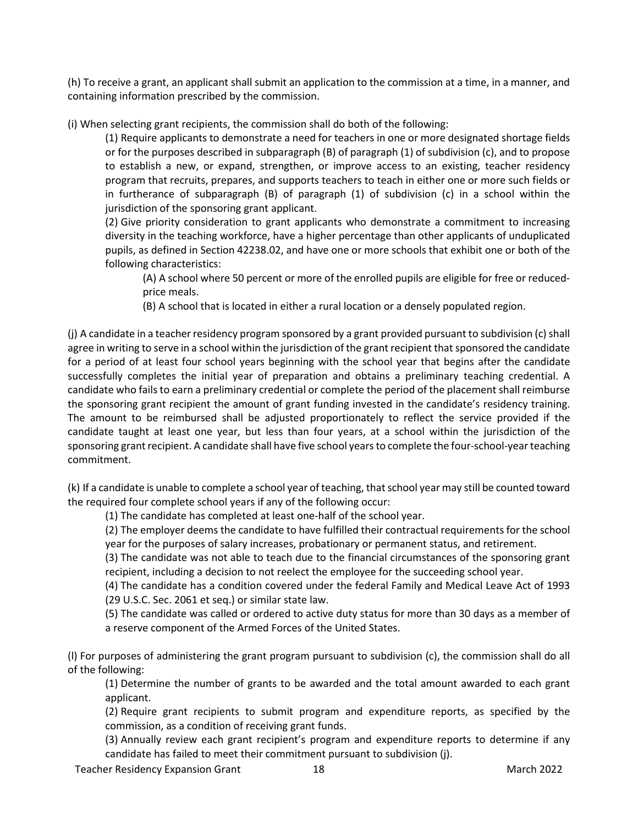(h) To receive a grant, an applicant shall submit an application to the commission at a time, in a manner, and containing information prescribed by the commission.

<span id="page-17-0"></span>(i) When selecting grant recipients, the commission shall do both of the following:

(1) Require applicants to demonstrate a need for teachers in one or more designated shortage fields or for the purposes described in subparagraph (B) of paragraph (1) of subdivision (c), and to propose to establish a new, or expand, strengthen, or improve access to an existing, teacher residency program that recruits, prepares, and supports teachers to teach in either one or more such fields or in furtherance of subparagraph (B) of paragraph (1) of subdivision (c) in a school within the jurisdiction of the sponsoring grant applicant.

(2) Give priority consideration to grant applicants who demonstrate a commitment to increasing diversity in the teaching workforce, have a higher percentage than other applicants of unduplicated pupils, as defined in Section 42238.02, and have one or more schools that exhibit one or both of the following characteristics:

(A) A school where 50 percent or more of the enrolled pupils are eligible for free or reducedprice meals.

(B) A school that is located in either a rural location or a densely populated region.

<span id="page-17-1"></span>(j) A candidate in a teacher residency program sponsored by a grant provided pursuant to subdivision (c) shall agree in writing to serve in a school within the jurisdiction of the grant recipient that sponsored the candidate for a period of at least four school years beginning with the school year that begins after the candidate successfully completes the initial year of preparation and obtains a preliminary teaching credential. A candidate who fails to earn a preliminary credential or complete the period of the placement shall reimburse the sponsoring grant recipient the amount of grant funding invested in the candidate's residency training. The amount to be reimbursed shall be adjusted proportionately to reflect the service provided if the candidate taught at least one year, but less than four years, at a school within the jurisdiction of the sponsoring grant recipient. A candidate shall have five school years to complete the four-school-year teaching commitment.

(k) If a candidate is unable to complete a school year of teaching, thatschool year may still be counted toward the required four complete school years if any of the following occur:

(1) The candidate has completed at least one-half of the school year.

(2) The employer deems the candidate to have fulfilled their contractual requirements for the school year for the purposes of salary increases, probationary or permanent status, and retirement.

(3) The candidate was not able to teach due to the financial circumstances of the sponsoring grant recipient, including a decision to not reelect the employee for the succeeding school year.

(4) The candidate has a condition covered under the federal Family and Medical Leave Act of 1993 (29 U.S.C. Sec. 2061 et seq.) or similar state law.

(5) The candidate was called or ordered to active duty status for more than 30 days as a member of a reserve component of the Armed Forces of the United States.

(l) For purposes of administering the grant program pursuant to subdivision (c), the commission shall do all of the following:

(1) Determine the number of grants to be awarded and the total amount awarded to each grant applicant.

(2) Require grant recipients to submit program and expenditure reports, as specified by the commission, as a condition of receiving grant funds.

(3) Annually review each grant recipient's program and expenditure reports to determine if any candidate has failed to meet their commitment pursuant to subdivision (j).

Teacher Residency Expansion Grant 18 March 2022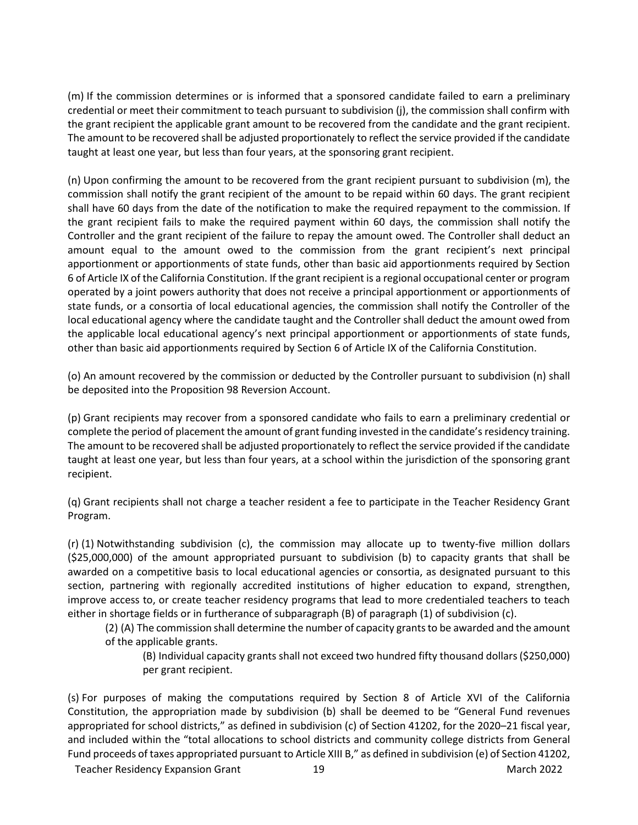(m) If the commission determines or is informed that a sponsored candidate failed to earn a preliminary credential or meet their commitment to teach pursuant to subdivision (j), the commission shall confirm with the grant recipient the applicable grant amount to be recovered from the candidate and the grant recipient. The amount to be recovered shall be adjusted proportionately to reflect the service provided if the candidate taught at least one year, but less than four years, at the sponsoring grant recipient.

(n) Upon confirming the amount to be recovered from the grant recipient pursuant to subdivision (m), the commission shall notify the grant recipient of the amount to be repaid within 60 days. The grant recipient shall have 60 days from the date of the notification to make the required repayment to the commission. If the grant recipient fails to make the required payment within 60 days, the commission shall notify the Controller and the grant recipient of the failure to repay the amount owed. The Controller shall deduct an amount equal to the amount owed to the commission from the grant recipient's next principal apportionment or apportionments of state funds, other than basic aid apportionments required by Section 6 of Article IX of the California Constitution. If the grant recipient is a regional occupational center or program operated by a joint powers authority that does not receive a principal apportionment or apportionments of state funds, or a consortia of local educational agencies, the commission shall notify the Controller of the local educational agency where the candidate taught and the Controller shall deduct the amount owed from the applicable local educational agency's next principal apportionment or apportionments of state funds, other than basic aid apportionments required by Section 6 of Article IX of the California Constitution.

(o) An amount recovered by the commission or deducted by the Controller pursuant to subdivision (n) shall be deposited into the Proposition 98 Reversion Account.

(p) Grant recipients may recover from a sponsored candidate who fails to earn a preliminary credential or complete the period of placement the amount of grant funding invested in the candidate's residency training. The amount to be recovered shall be adjusted proportionately to reflect the service provided if the candidate taught at least one year, but less than four years, at a school within the jurisdiction of the sponsoring grant recipient.

(q) Grant recipients shall not charge a teacher resident a fee to participate in the Teacher Residency Grant Program.

(r) (1) Notwithstanding subdivision (c), the commission may allocate up to twenty-five million dollars (\$25,000,000) of the amount appropriated pursuant to subdivision (b) to capacity grants that shall be awarded on a competitive basis to local educational agencies or consortia, as designated pursuant to this section, partnering with regionally accredited institutions of higher education to expand, strengthen, improve access to, or create teacher residency programs that lead to more credentialed teachers to teach either in shortage fields or in furtherance of subparagraph (B) of paragraph (1) of subdivision (c).

(2) (A) The commission shall determine the number of capacity grantsto be awarded and the amount of the applicable grants.

(B) Individual capacity grants shall not exceed two hundred fifty thousand dollars(\$250,000) per grant recipient.

(s) For purposes of making the computations required by Section 8 of Article XVI of the California Constitution, the appropriation made by subdivision (b) shall be deemed to be "General Fund revenues appropriated for school districts," as defined in subdivision (c) of Section 41202, for the 2020–21 fiscal year, and included within the "total allocations to school districts and community college districts from General Fund proceeds of taxes appropriated pursuant to Article XIII B," as defined in subdivision (e) of Section 41202,

Teacher Residency Expansion Grant 19 March 2022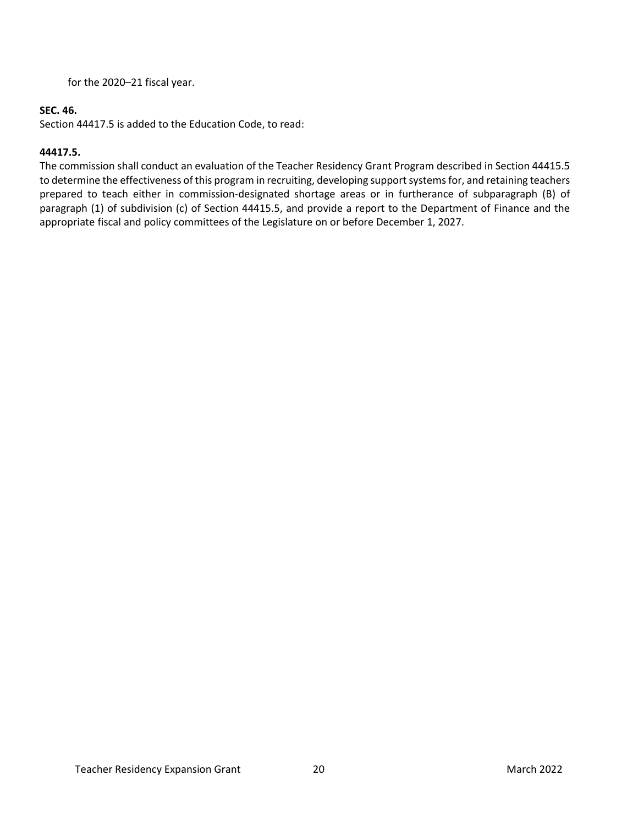for the 2020–21 fiscal year.

#### **SEC. 46.**

Section 44417.5 is added to the Education Code, to read:

#### **44417.5.**

The commission shall conduct an evaluation of the Teacher Residency Grant Program described in Section 44415.5 to determine the effectiveness of this program in recruiting, developing support systems for, and retaining teachers prepared to teach either in commission-designated shortage areas or in furtherance of subparagraph (B) of paragraph (1) of subdivision (c) of Section 44415.5, and provide a report to the Department of Finance and the appropriate fiscal and policy committees of the Legislature on or before December 1, 2027.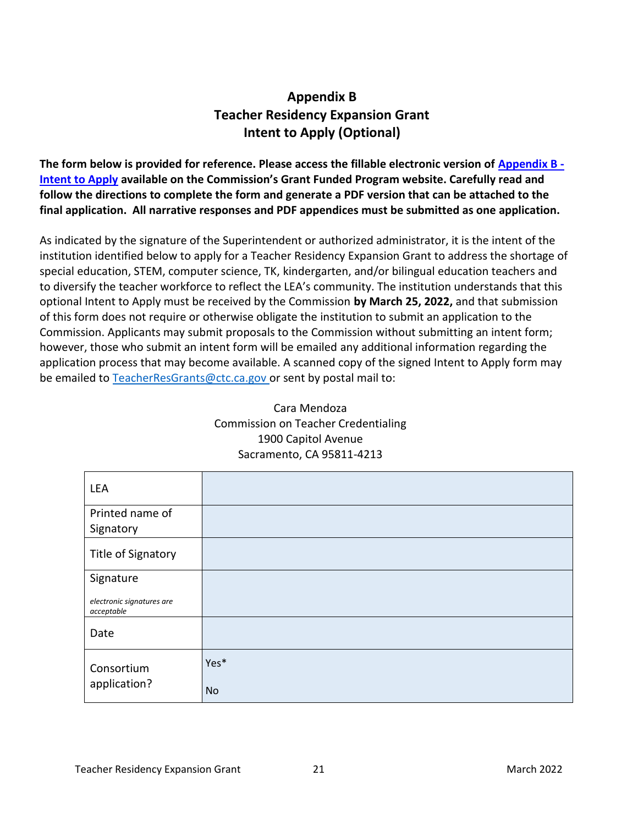# **Appendix B Teacher Residency Expansion Grant Intent to Apply (Optional)**

<span id="page-20-0"></span>**The form below is provided for reference. Please access the fillable electronic version of [Appendix B -](https://public.ctc.ca.gov/Grants/ResidencyExpansion/Intent) [Intent to Apply](https://public.ctc.ca.gov/Grants/ResidencyExpansion/Intent) available on the Commission's Grant Funded Program website. Carefully read and follow the directions to complete the form and generate a PDF version that can be attached to the final application. All narrative responses and PDF appendices must be submitted as one application.**

As indicated by the signature of the Superintendent or authorized administrator, it is the intent of the institution identified below to apply for a Teacher Residency Expansion Grant to address the shortage of special education, STEM, computer science, TK, kindergarten, and/or bilingual education teachers and to diversify the teacher workforce to reflect the LEA's community. The institution understands that this optional Intent to Apply must be received by the Commission **by March 25, 2022,** and that submission of this form does not require or otherwise obligate the institution to submit an application to the Commission. Applicants may submit proposals to the Commission without submitting an intent form; however, those who submit an intent form will be emailed any additional information regarding the application process that may become available. A scanned copy of the signed Intent to Apply form may be emailed to [TeacherResGrants@ctc.ca.gov or s](mailto:TeacherResGrants@ctc.ca.govor)ent by postal mail to:

| Cara Mendoza                               |  |  |  |  |
|--------------------------------------------|--|--|--|--|
| <b>Commission on Teacher Credentialing</b> |  |  |  |  |
| 1900 Capitol Avenue                        |  |  |  |  |
| Sacramento, CA 95811-4213                  |  |  |  |  |
|                                            |  |  |  |  |

Cara Mendoza

| LEA                                     |           |
|-----------------------------------------|-----------|
| Printed name of                         |           |
| Signatory                               |           |
| Title of Signatory                      |           |
| Signature                               |           |
| electronic signatures are<br>acceptable |           |
| Date                                    |           |
| Consortium                              | Yes*      |
| application?                            | <b>No</b> |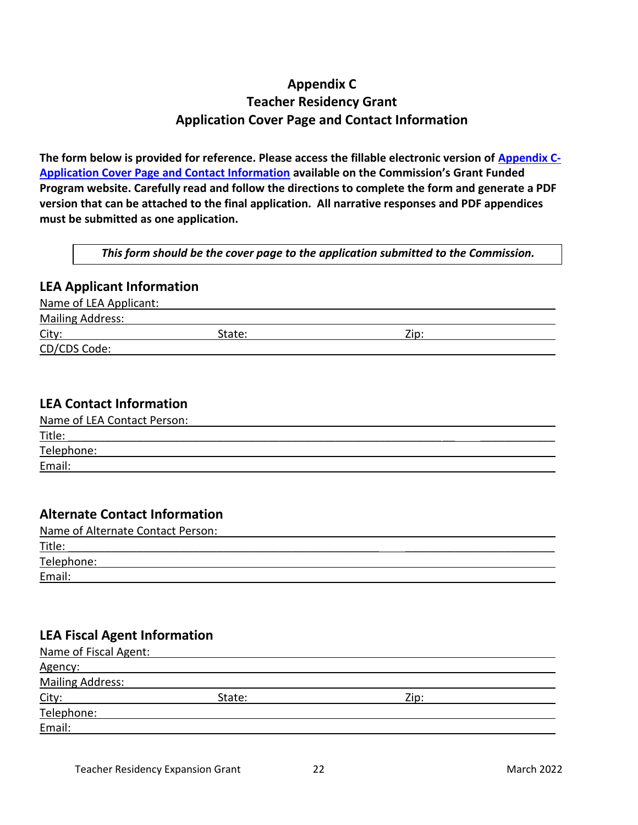# **Appendix C Teacher Residency Grant Application Cover Page and Contact Information**

<span id="page-21-0"></span>**The form below is provided for reference. Please access the fillable electronic version of [Appendix C-](https://public.ctc.ca.gov/Grants/ResidencyExpansion/CoverPage)[Application Cover Page and Contact Information](https://public.ctc.ca.gov/Grants/ResidencyExpansion/CoverPage) available on the Commission's Grant Funded Program website. Carefully read and follow the directions to complete the form and generate a PDF version that can be attached to the final application. All narrative responses and PDF appendices must be submitted as one application.** 

*This form should be the cover page to the application submitted to the Commission.*

#### **LEA Applicant Information**

Name of LEA Applicant:

Mailing Address:

City: 2ip:

CD/CDS Code:

#### **LEA Contact Information**

| Name of LEA Contact Person: |  |
|-----------------------------|--|
| Title:                      |  |
| Telephone:                  |  |
| Email:                      |  |

### **Alternate Contact Information**

| Name of Alternate Contact Person: |  |
|-----------------------------------|--|
| Title:                            |  |
| Telephone:                        |  |
| Email:                            |  |

### **LEA Fiscal Agent Information**

| Name of Fiscal Agent:   |        |      |  |
|-------------------------|--------|------|--|
| Agency:                 |        |      |  |
| <b>Mailing Address:</b> |        |      |  |
| City:                   | State: | Zip: |  |
| Telephone:              |        |      |  |
| Email:                  |        |      |  |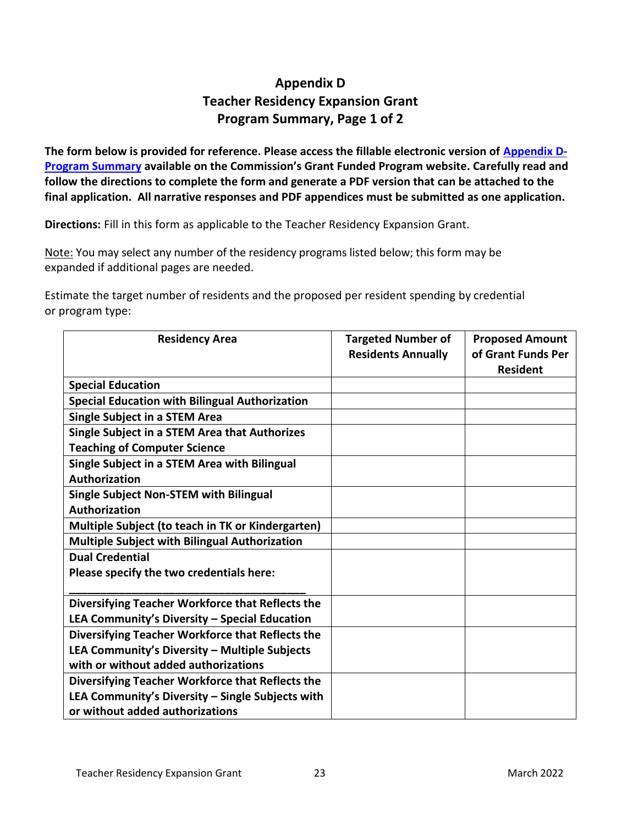# **Appendix D Teacher Residency Expansion Grant Program Summary, Page 1 of 2**

<span id="page-22-0"></span>The form below is provided for reference. Please access the fillable electronic version of **Appendix D-[Program Summary](https://public.ctc.ca.gov/Grants/ResidencyExpansion/Summary) available on the Commission's Grant Funded Program website. Carefully read and follow the directions to complete the form and generate a PDF version that can be attached to the final application. All narrative responses and PDF appendices must be submitted as one application.** 

**Directions:** Fill in this form as applicable to the Teacher Residency Expansion Grant.

Note: You may select any number of the residency programs listed below; this form may be expanded if additional pages are needed.

Estimate the target number of residents and the proposed per resident spending by credential or program type:

| <b>Residency Area</b>                                 | <b>Targeted Number of</b><br><b>Residents Annually</b> | <b>Proposed Amount</b><br>of Grant Funds Per<br><b>Resident</b> |
|-------------------------------------------------------|--------------------------------------------------------|-----------------------------------------------------------------|
| <b>Special Education</b>                              |                                                        |                                                                 |
| <b>Special Education with Bilingual Authorization</b> |                                                        |                                                                 |
| <b>Single Subject in a STEM Area</b>                  |                                                        |                                                                 |
| Single Subject in a STEM Area that Authorizes         |                                                        |                                                                 |
| <b>Teaching of Computer Science</b>                   |                                                        |                                                                 |
| Single Subject in a STEM Area with Bilingual          |                                                        |                                                                 |
| Authorization                                         |                                                        |                                                                 |
| <b>Single Subject Non-STEM with Bilingual</b>         |                                                        |                                                                 |
| Authorization                                         |                                                        |                                                                 |
| Multiple Subject (to teach in TK or Kindergarten)     |                                                        |                                                                 |
| <b>Multiple Subject with Bilingual Authorization</b>  |                                                        |                                                                 |
| <b>Dual Credential</b>                                |                                                        |                                                                 |
| Please specify the two credentials here:              |                                                        |                                                                 |
|                                                       |                                                        |                                                                 |
| Diversifying Teacher Workforce that Reflects the      |                                                        |                                                                 |
| LEA Community's Diversity - Special Education         |                                                        |                                                                 |
| Diversifying Teacher Workforce that Reflects the      |                                                        |                                                                 |
| LEA Community's Diversity - Multiple Subjects         |                                                        |                                                                 |
| with or without added authorizations                  |                                                        |                                                                 |
| Diversifying Teacher Workforce that Reflects the      |                                                        |                                                                 |
| LEA Community's Diversity - Single Subjects with      |                                                        |                                                                 |
| or without added authorizations                       |                                                        |                                                                 |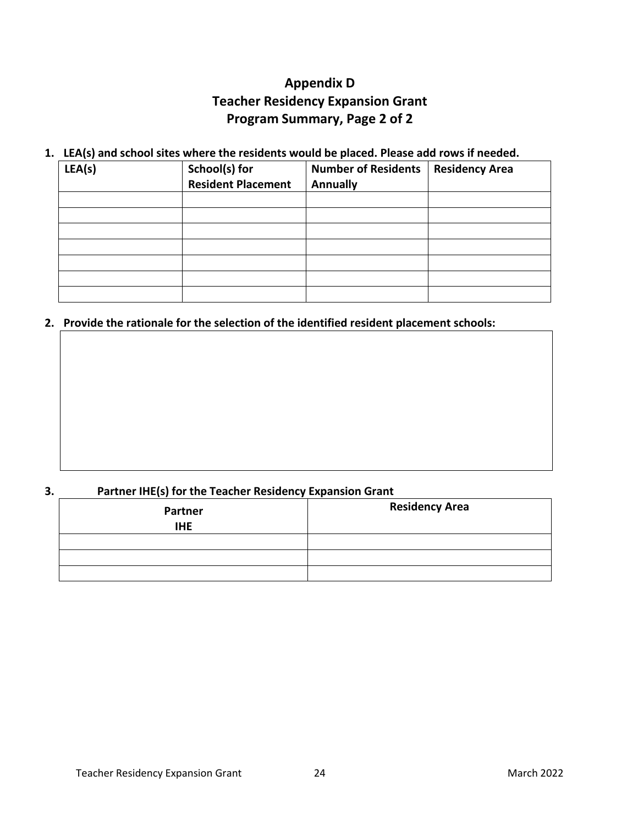# **Appendix D Teacher Residency Expansion Grant Program Summary, Page 2 of 2**

#### **1. LEA(s) and school sites where the residents would be placed. Please add rows if needed.**

| LEA(s) | School(s) for<br><b>Resident Placement</b> | <b>Number of Residents</b><br><b>Annually</b> | <b>Residency Area</b> |
|--------|--------------------------------------------|-----------------------------------------------|-----------------------|
|        |                                            |                                               |                       |
|        |                                            |                                               |                       |
|        |                                            |                                               |                       |
|        |                                            |                                               |                       |
|        |                                            |                                               |                       |
|        |                                            |                                               |                       |
|        |                                            |                                               |                       |

#### **2. Provide the rationale for the selection of the identified resident placement schools:**

#### **3. Partner IHE(s) for the Teacher Residency Expansion Grant**

| <b>Partner</b><br><b>IHE</b> | <b>Residency Area</b> |  |
|------------------------------|-----------------------|--|
|                              |                       |  |
|                              |                       |  |
|                              |                       |  |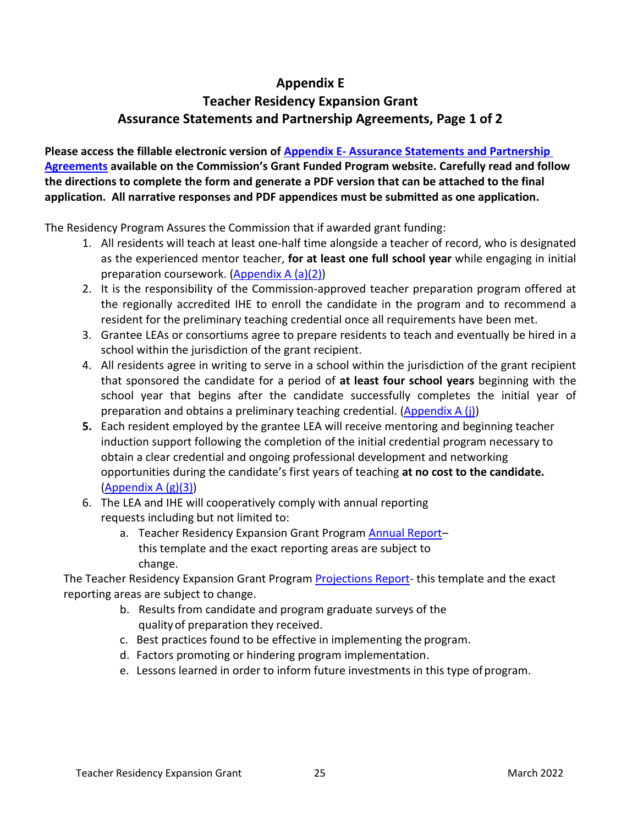### **Appendix E**

# <span id="page-24-0"></span>**Teacher Residency Expansion Grant Assurance Statements and Partnership Agreements, Page 1 of 2**

**Please access the fillable electronic version of Appendix E- [Assurance Statements and Partnership](https://public.ctc.ca.gov/Grants/ResidencyExpansion/PartnershipAgreements)  [Agreements](https://public.ctc.ca.gov/Grants/ResidencyExpansion/PartnershipAgreements) available on the Commission's Grant Funded Program website. Carefully read and follow the directions to complete the form and generate a PDF version that can be attached to the final application. All narrative responses and PDF appendices must be submitted as one application.** 

The Residency Program Assures the Commission that if awarded grant funding:

- 1. All residents will teach at least one-half time alongside a teacher of record, who is designated as the experienced mentor teacher, **for at least one full school year** while engaging in initial preparation coursework. [\(Appendix](#page-15-2) A (a)(2))
- 2. It is the responsibility of the Commission-approved teacher preparation program offered at the regionally accredited IHE to enroll the candidate in the program and to recommend a resident for the preliminary teaching credential once all requirements have been met.
- 3. Grantee LEAs or consortiums agree to prepare residents to teach and eventually be hired in a school within the jurisdiction of the grant recipient.
- 4. All residents agree in writing to serve in a school within the jurisdiction of the grant recipient that sponsored the candidate for a period of **at least four school years** beginning with the school year that begins after the candidate successfully completes the initial year of preparation and obtains a preliminary teaching credential. [\(Appendix](#page-17-1) A (j))
- **5.** Each resident employed by the grantee LEA will receive mentoring and beginning teacher induction support following the completion of the initial credential program necessary to obtain a clear credential and ongoing professional development and networking opportunities during the candidate's first years of teaching **at no cost to the candidate.** [\(Appendix](#page-16-0) A (g)(3))
- 6. The LEA and IHE will cooperatively comply with annual reporting requests including but not limited to:
	- a. Teacher Residency Expansion Grant Program [Annual Report](file:///L:/FBS-PSD/Contracts/FY%2020-21/Teacher%20Residency/Annual%20Reports/Year%202%20Teacher%20Residency%20Reporting%20Spreadsheet.xlsx) this template and the exact reporting areas are subject to change.

The Teacher Residency Expansion Grant Program [Projections Report-](file:///L:/FBS-PSD/Contracts/FY%2021-22/Teacher%20Residency/2018%20Regular%20Residency%20Grantee%20Documents/TR%20Projections%20-%20Year%204%20(2022-23)/Teacher%20Residency%20Actuals%20and%20Projections%20Report.pdf) this template and the exact reporting areas are subject to change.

- b. Results from candidate and program graduate surveys of the qualityof preparation they received.
- c. Best practices found to be effective in implementing the program.
- d. Factors promoting or hindering program implementation.
- e. Lessons learned in order to inform future investments in this type ofprogram.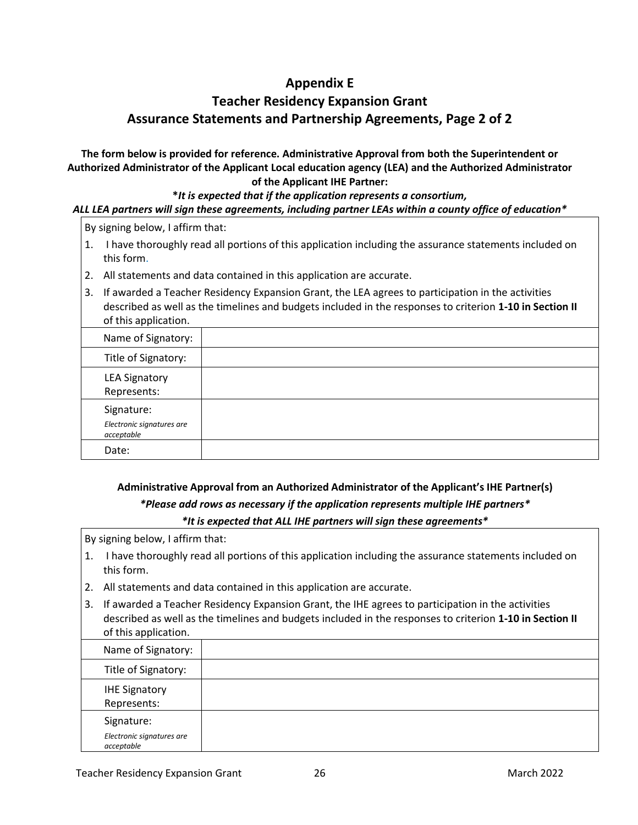### **Appendix E**

# **Teacher Residency Expansion Grant Assurance Statements and Partnership Agreements, Page 2 of 2**

**The form below is provided for reference. Administrative Approval from both the Superintendent or Authorized Administrator of the Applicant Local education agency (LEA) and the Authorized Administrator of the Applicant IHE Partner:**

#### **\****It is expected that if the application represents a consortium, ALL LEA partners will sign these agreements, including partner LEAs within a county office of education\**

By signing below, I affirm that:

- 1. I have thoroughly read all portions of this application including the assurance statements included on this form.
- 2. All statements and data contained in this application are accurate.
- 3. If awarded a Teacher Residency Expansion Grant, the LEA agrees to participation in the activities described as well as the timelines and budgets included in the responses to criterion **1-10 in Section II** of this application.

| Name of Signatory:                      |  |
|-----------------------------------------|--|
| Title of Signatory:                     |  |
| <b>LEA Signatory</b><br>Represents:     |  |
| Signature:                              |  |
| Electronic signatures are<br>acceptable |  |
| Date:                                   |  |

### **Administrative Approval from an Authorized Administrator of the Applicant's IHE Partner(s)** *\*Please add rows as necessary if the application represents multiple IHE partners\* \*It is expected that ALL IHE partners will sign these agreements\**

By signing below, I affirm that:

- 1. I have thoroughly read all portions of this application including the assurance statements included on this form.
- 2. All statements and data contained in this application are accurate.
- 3. If awarded a Teacher Residency Expansion Grant, the IHE agrees to participation in the activities described as well as the timelines and budgets included in the responses to criterion **1-10 in Section II** of this application.

| Name of Signatory:                                    |  |
|-------------------------------------------------------|--|
| Title of Signatory:                                   |  |
| <b>IHE Signatory</b><br>Represents:                   |  |
| Signature:<br>Electronic signatures are<br>acceptable |  |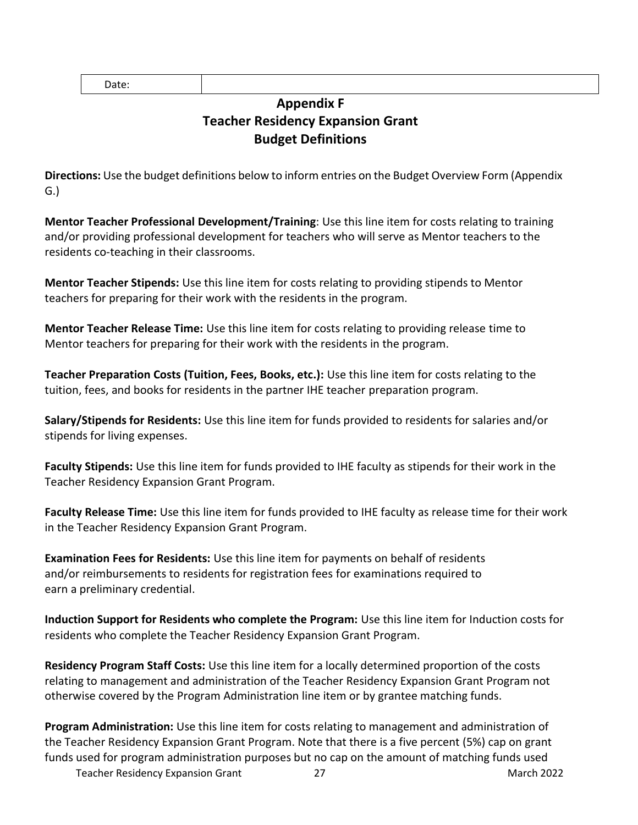<span id="page-26-0"></span>Date:

# **Appendix F Teacher Residency Expansion Grant Budget Definitions**

**Directions:** Use the budget definitions below to inform entries on the Budget Overview Form (Appendix G.)

**Mentor Teacher Professional Development/Training**: Use this line item for costs relating to training and/or providing professional development for teachers who will serve as Mentor teachers to the residents co-teaching in their classrooms.

**Mentor Teacher Stipends:** Use this line item for costs relating to providing stipends to Mentor teachers for preparing for their work with the residents in the program.

**Mentor Teacher Release Time:** Use this line item for costs relating to providing release time to Mentor teachers for preparing for their work with the residents in the program.

**Teacher Preparation Costs (Tuition, Fees, Books, etc.):** Use this line item for costs relating to the tuition, fees, and books for residents in the partner IHE teacher preparation program.

**Salary/Stipends for Residents:** Use this line item for funds provided to residents for salaries and/or stipends for living expenses.

**Faculty Stipends:** Use this line item for funds provided to IHE faculty as stipends for their work in the Teacher Residency Expansion Grant Program.

**Faculty Release Time:** Use this line item for funds provided to IHE faculty as release time for their work in the Teacher Residency Expansion Grant Program.

**Examination Fees for Residents:** Use this line item for payments on behalf of residents and/or reimbursements to residents for registration fees for examinations required to earn a preliminary credential.

**Induction Support for Residents who complete the Program:** Use this line item for Induction costs for residents who complete the Teacher Residency Expansion Grant Program.

**Residency Program Staff Costs:** Use this line item for a locally determined proportion of the costs relating to management and administration of the Teacher Residency Expansion Grant Program not otherwise covered by the Program Administration line item or by grantee matching funds.

**Program Administration:** Use this line item for costs relating to management and administration of the Teacher Residency Expansion Grant Program. Note that there is a five percent (5%) cap on grant funds used for program administration purposes but no cap on the amount of matching funds used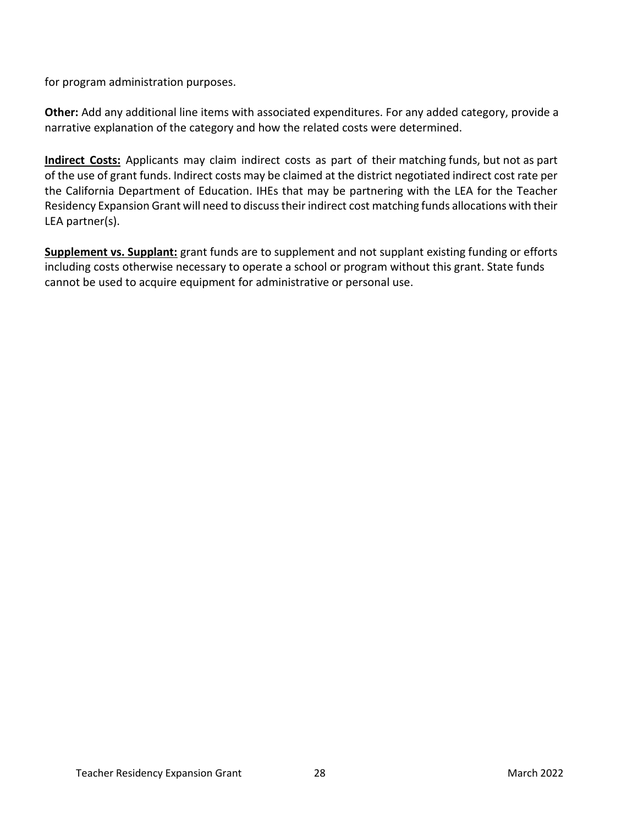for program administration purposes.

**Other:** Add any additional line items with associated expenditures. For any added category, provide a narrative explanation of the category and how the related costs were determined.

**Indirect Costs:** Applicants may claim indirect costs as part of their matching funds, but not as part of the use of grant funds. Indirect costs may be claimed at the district negotiated indirect cost rate per the California Department of Education. IHEs that may be partnering with the LEA for the Teacher Residency Expansion Grant will need to discuss their indirect cost matching funds allocations with their LEA partner(s).

**Supplement vs. Supplant:** grant funds are to supplement and not supplant existing funding or efforts including costs otherwise necessary to operate a school or program without this grant. State funds cannot be used to acquire equipment for administrative or personal use.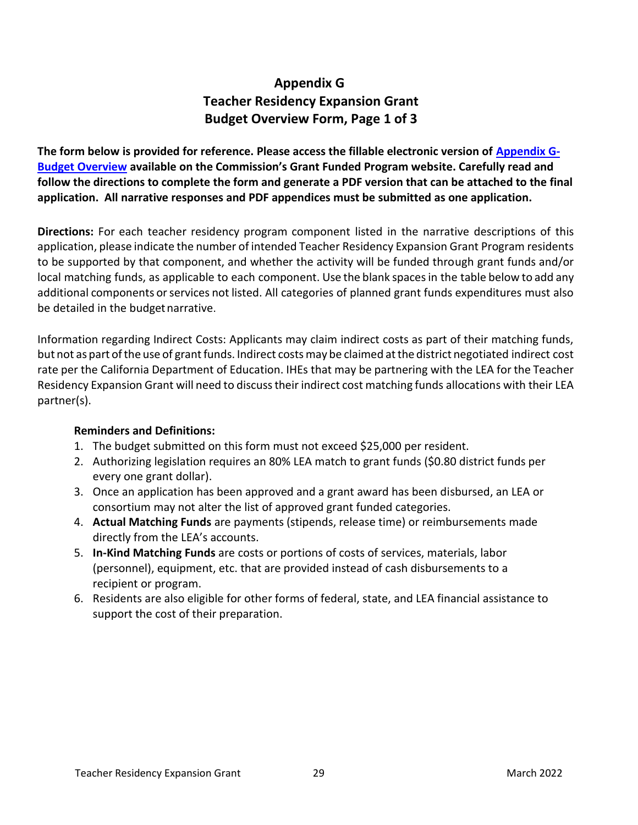# **Appendix G Teacher Residency Expansion Grant Budget Overview Form, Page 1 of 3**

<span id="page-28-0"></span>**The form below is provided for reference. Please access the fillable electronic version of [Appendix G-](https://public.ctc.ca.gov/Grants/ResidencyExpansion/BudgetOverview)[Budget Overview](https://public.ctc.ca.gov/Grants/ResidencyExpansion/BudgetOverview) available on the Commission's Grant Funded Program website. Carefully read and follow the directions to complete the form and generate a PDF version that can be attached to the final application. All narrative responses and PDF appendices must be submitted as one application.** 

**Directions:** For each teacher residency program component listed in the narrative descriptions of this application, please indicate the number of intended Teacher Residency Expansion Grant Program residents to be supported by that component, and whether the activity will be funded through grant funds and/or local matching funds, as applicable to each component. Use the blank spacesin the table below to add any additional components or services not listed. All categories of planned grant funds expenditures must also be detailed in the budget narrative.

Information regarding Indirect Costs: Applicants may claim indirect costs as part of their matching funds, but not as part of the use of grant funds. Indirect costs may be claimed at the district negotiated indirect cost rate per the California Department of Education. IHEs that may be partnering with the LEA for the Teacher Residency Expansion Grant will need to discusstheir indirect cost matching funds allocations with their LEA partner(s).

#### **Reminders and Definitions:**

- 1. The budget submitted on this form must not exceed \$25,000 per resident.
- 2. Authorizing legislation requires an 80% LEA match to grant funds (\$0.80 district funds per every one grant dollar).
- 3. Once an application has been approved and a grant award has been disbursed, an LEA or consortium may not alter the list of approved grant funded categories.
- 4. **Actual Matching Funds** are payments (stipends, release time) or reimbursements made directly from the LEA's accounts.
- 5. **In-Kind Matching Funds** are costs or portions of costs of services, materials, labor (personnel), equipment, etc. that are provided instead of cash disbursements to a recipient or program.
- 6. Residents are also eligible for other forms of federal, state, and LEA financial assistance to support the cost of their preparation.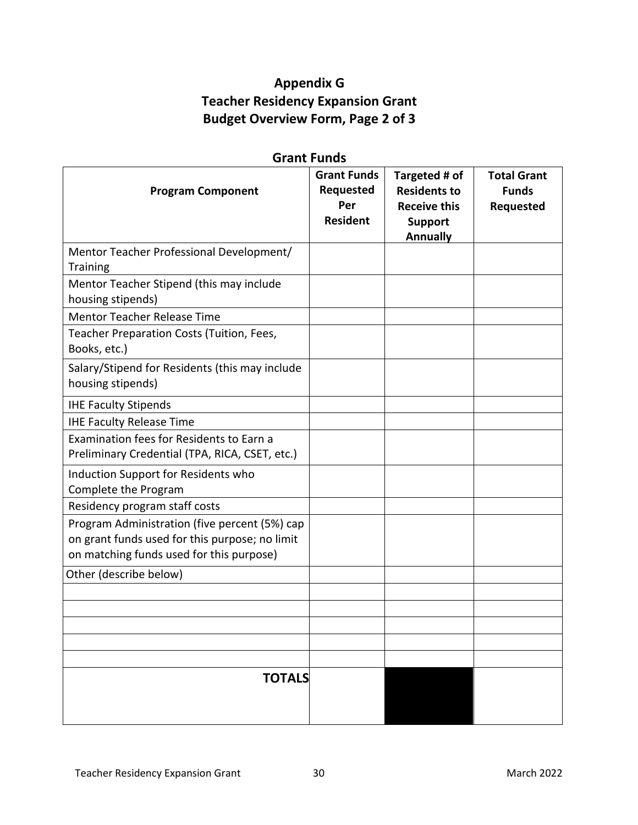# **Appendix G Teacher Residency Expansion Grant Budget Overview Form, Page 2 of 3**

| <b>Grant Funds</b>                                                                                                                          |                                                                  |                                                                                                  |                                                 |
|---------------------------------------------------------------------------------------------------------------------------------------------|------------------------------------------------------------------|--------------------------------------------------------------------------------------------------|-------------------------------------------------|
| <b>Program Component</b>                                                                                                                    | <b>Grant Funds</b><br><b>Requested</b><br>Per<br><b>Resident</b> | Targeted # of<br><b>Residents to</b><br><b>Receive this</b><br><b>Support</b><br><b>Annually</b> | <b>Total Grant</b><br><b>Funds</b><br>Requested |
| Mentor Teacher Professional Development/<br><b>Training</b>                                                                                 |                                                                  |                                                                                                  |                                                 |
| Mentor Teacher Stipend (this may include<br>housing stipends)                                                                               |                                                                  |                                                                                                  |                                                 |
| <b>Mentor Teacher Release Time</b>                                                                                                          |                                                                  |                                                                                                  |                                                 |
| Teacher Preparation Costs (Tuition, Fees,<br>Books, etc.)                                                                                   |                                                                  |                                                                                                  |                                                 |
| Salary/Stipend for Residents (this may include<br>housing stipends)                                                                         |                                                                  |                                                                                                  |                                                 |
| <b>IHE Faculty Stipends</b>                                                                                                                 |                                                                  |                                                                                                  |                                                 |
| <b>IHE Faculty Release Time</b>                                                                                                             |                                                                  |                                                                                                  |                                                 |
| Examination fees for Residents to Earn a<br>Preliminary Credential (TPA, RICA, CSET, etc.)                                                  |                                                                  |                                                                                                  |                                                 |
| Induction Support for Residents who<br>Complete the Program                                                                                 |                                                                  |                                                                                                  |                                                 |
| Residency program staff costs                                                                                                               |                                                                  |                                                                                                  |                                                 |
| Program Administration (five percent (5%) cap<br>on grant funds used for this purpose; no limit<br>on matching funds used for this purpose) |                                                                  |                                                                                                  |                                                 |
| Other (describe below)                                                                                                                      |                                                                  |                                                                                                  |                                                 |
|                                                                                                                                             |                                                                  |                                                                                                  |                                                 |
|                                                                                                                                             |                                                                  |                                                                                                  |                                                 |
|                                                                                                                                             |                                                                  |                                                                                                  |                                                 |
|                                                                                                                                             |                                                                  |                                                                                                  |                                                 |
|                                                                                                                                             |                                                                  |                                                                                                  |                                                 |
| <b>TOTALS</b>                                                                                                                               |                                                                  |                                                                                                  |                                                 |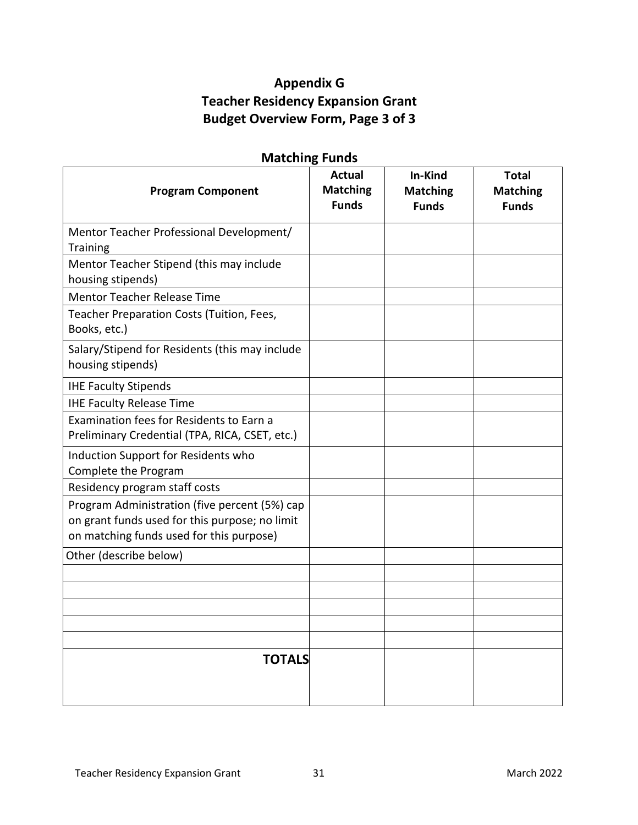# **Appendix G Teacher Residency Expansion Grant Budget Overview Form, Page 3 of 3**

| <b>Matching Funds</b>                                                                                                                       |                                                  |                                            |                                                 |
|---------------------------------------------------------------------------------------------------------------------------------------------|--------------------------------------------------|--------------------------------------------|-------------------------------------------------|
| <b>Program Component</b>                                                                                                                    | <b>Actual</b><br><b>Matching</b><br><b>Funds</b> | In-Kind<br><b>Matching</b><br><b>Funds</b> | <b>Total</b><br><b>Matching</b><br><b>Funds</b> |
| Mentor Teacher Professional Development/<br><b>Training</b>                                                                                 |                                                  |                                            |                                                 |
| Mentor Teacher Stipend (this may include<br>housing stipends)                                                                               |                                                  |                                            |                                                 |
| <b>Mentor Teacher Release Time</b>                                                                                                          |                                                  |                                            |                                                 |
| Teacher Preparation Costs (Tuition, Fees,<br>Books, etc.)                                                                                   |                                                  |                                            |                                                 |
| Salary/Stipend for Residents (this may include<br>housing stipends)                                                                         |                                                  |                                            |                                                 |
| <b>IHE Faculty Stipends</b>                                                                                                                 |                                                  |                                            |                                                 |
| <b>IHE Faculty Release Time</b>                                                                                                             |                                                  |                                            |                                                 |
| Examination fees for Residents to Earn a<br>Preliminary Credential (TPA, RICA, CSET, etc.)                                                  |                                                  |                                            |                                                 |
| Induction Support for Residents who<br>Complete the Program                                                                                 |                                                  |                                            |                                                 |
| Residency program staff costs                                                                                                               |                                                  |                                            |                                                 |
| Program Administration (five percent (5%) cap<br>on grant funds used for this purpose; no limit<br>on matching funds used for this purpose) |                                                  |                                            |                                                 |
| Other (describe below)                                                                                                                      |                                                  |                                            |                                                 |
|                                                                                                                                             |                                                  |                                            |                                                 |
|                                                                                                                                             |                                                  |                                            |                                                 |
|                                                                                                                                             |                                                  |                                            |                                                 |
|                                                                                                                                             |                                                  |                                            |                                                 |
|                                                                                                                                             |                                                  |                                            |                                                 |
| <b>TOTALS</b>                                                                                                                               |                                                  |                                            |                                                 |

# **Matching Funds**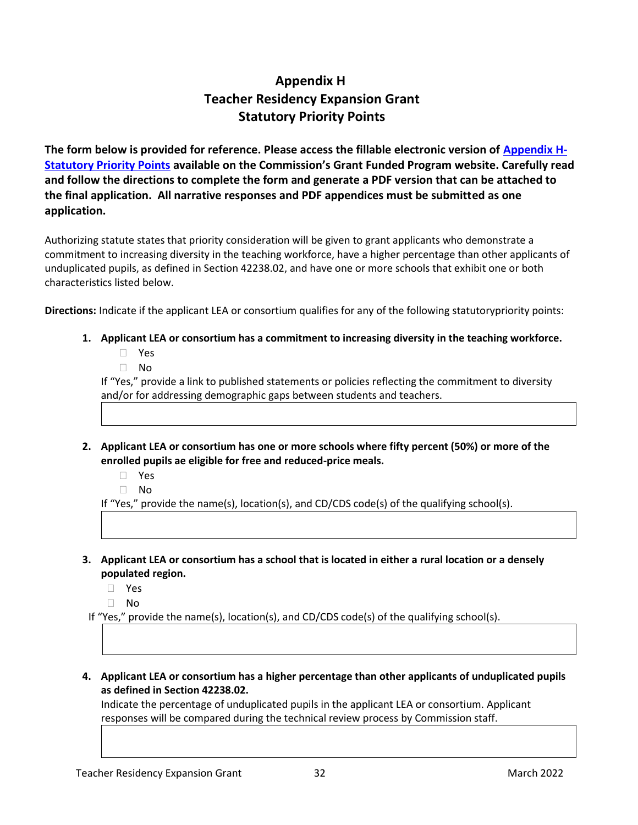# **Appendix H Teacher Residency Expansion Grant Statutory Priority Points**

<span id="page-31-0"></span>**The form below is provided for reference. Please access the fillable electronic version of [Appendix H-](https://public.ctc.ca.gov/Grants/ResidencyExpansion/PriorityPoints)[Statutory Priority Points](https://public.ctc.ca.gov/Grants/ResidencyExpansion/PriorityPoints) available on the Commission's Grant Funded Program website. Carefully read and follow the directions to complete the form and generate a PDF version that can be attached to the final application. All narrative responses and PDF appendices must be submitted as one application.** 

Authorizing statute states that priority consideration will be given to grant applicants who demonstrate a commitment to increasing diversity in the teaching workforce, have a higher percentage than other applicants of unduplicated pupils, as defined in Section 42238.02, and have one or more schools that exhibit one or both characteristics listed below.

**Directions:** Indicate if the applicant LEA or consortium qualifies for any of the following statutorypriority points:

- **1. Applicant LEA or consortium has a commitment to increasing diversity in the teaching workforce.** 
	- Yes
	- $\Box$  No

If "Yes," provide a link to published statements or policies reflecting the commitment to diversity and/or for addressing demographic gaps between students and teachers.

- **2. Applicant LEA or consortium has one or more schools where fifty percent (50%) or more of the enrolled pupils ae eligible for free and reduced-price meals.** 
	- Yes
	- $\Box$  No

If "Yes," provide the name(s), location(s), and CD/CDS code(s) of the qualifying school(s).

- **3. Applicant LEA or consortium has a school that is located in either a rural location or a densely populated region.** 
	- Yes
	- $\Box$  No

If "Yes," provide the name(s), location(s), and CD/CDS code(s) of the qualifying school(s).

**4. Applicant LEA or consortium has a higher percentage than other applicants of unduplicated pupils as defined in Section 42238.02.** 

Indicate the percentage of unduplicated pupils in the applicant LEA or consortium. Applicant responses will be compared during the technical review process by Commission staff.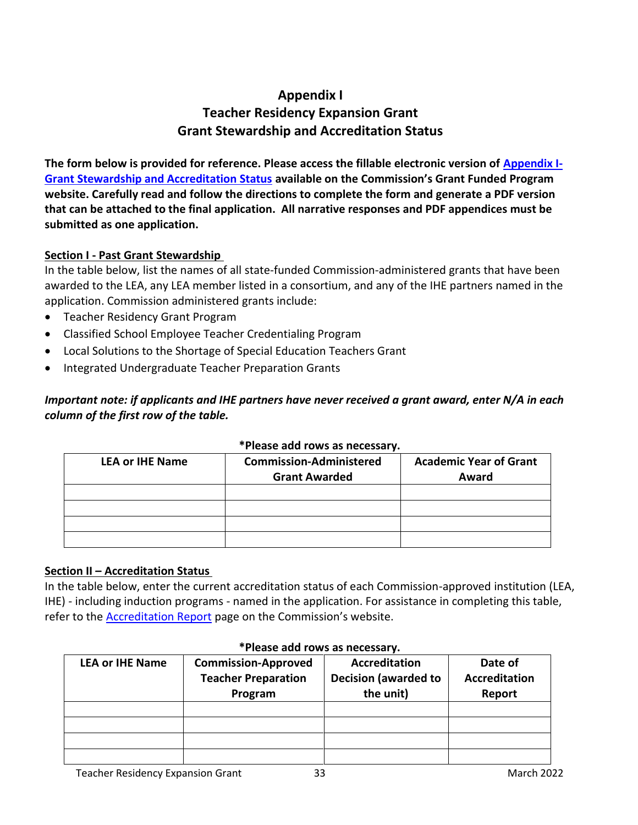# **Appendix I Teacher Residency Expansion Grant Grant Stewardship and Accreditation Status**

<span id="page-32-0"></span>**The form below is provided for reference. Please access the fillable electronic version of [Appendix I-](https://public.ctc.ca.gov/Grants/ResidencyExpansion/AccreditationStatus)[Grant Stewardship and Accreditation Status](https://public.ctc.ca.gov/Grants/ResidencyExpansion/AccreditationStatus) available on the Commission's Grant Funded Program website. Carefully read and follow the directions to complete the form and generate a PDF version that can be attached to the final application. All narrative responses and PDF appendices must be submitted as one application.** 

#### **Section I - Past Grant Stewardship**

In the table below, list the names of all state-funded Commission-administered grants that have been awarded to the LEA, any LEA member listed in a consortium, and any of the IHE partners named in the application. Commission administered grants include:

- Teacher Residency Grant Program
- Classified School Employee Teacher Credentialing Program
- Local Solutions to the Shortage of Special Education Teachers Grant
- Integrated Undergraduate Teacher Preparation Grants

### *Important note: if applicants and IHE partners have never received a grant award, enter N/A in each column of the first row of the table.*

| <b>LEA or IHE Name</b> | <b>Commission-Administered</b><br><b>Grant Awarded</b> | <b>Academic Year of Grant</b><br>Award |  |
|------------------------|--------------------------------------------------------|----------------------------------------|--|
|                        |                                                        |                                        |  |
|                        |                                                        |                                        |  |
|                        |                                                        |                                        |  |
|                        |                                                        |                                        |  |

#### **\*Please add rows as necessary.**

#### **Section II – Accreditation Status**

In the table below, enter the current accreditation status of each Commission-approved institution (LEA, IHE) - including induction programs - named in the application. For assistance in completing this table, refer to the [Accreditation Report](https://info.ctc.ca.gov/fmp/accreditation/accreditation_reports.php) page on the Commission's website.

<span id="page-32-1"></span>

| <b>LEA or IHE Name</b> | <b>Commission-Approved</b><br><b>Teacher Preparation</b> | <b>Accreditation</b><br><b>Decision (awarded to</b> | Date of<br><b>Accreditation</b> |
|------------------------|----------------------------------------------------------|-----------------------------------------------------|---------------------------------|
|                        |                                                          |                                                     |                                 |
|                        | Program                                                  | the unit)                                           | Report                          |
|                        |                                                          |                                                     |                                 |
|                        |                                                          |                                                     |                                 |
|                        |                                                          |                                                     |                                 |
|                        |                                                          |                                                     |                                 |

#### **\*Please add rows as necessary.**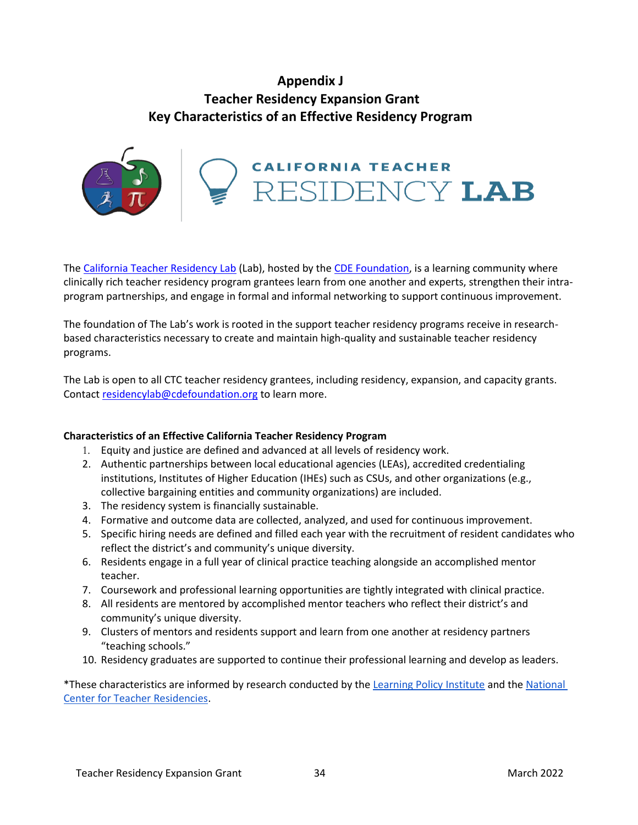## **Appendix J Teacher Residency Expansion Grant Key Characteristics of an Effective Residency Program**



The [California Teacher Residency Lab](https://cdefoundation.org/cde_programs/thelab/) (Lab), hosted by the [CDE Foundation,](https://cdefoundation.org/) is a learning community where clinically rich teacher residency program grantees learn from one another and experts, strengthen their intraprogram partnerships, and engage in formal and informal networking to support continuous improvement.

The foundation of The Lab's work is rooted in the support teacher residency programs receive in researchbased characteristics necessary to create and maintain high-quality and sustainable teacher residency programs.

The Lab is open to all CTC teacher residency grantees, including residency, expansion, and capacity grants. Contact [residencylab@cdefoundation.org](mailto:residencylab@cdefoundation.org) to learn more.

#### **Characteristics of an Effective California Teacher Residency Program**

- 1. Equity and justice are defined and advanced at all levels of residency work.
- 2. Authentic partnerships between local educational agencies (LEAs), accredited credentialing institutions, Institutes of Higher Education (IHEs) such as CSUs, and other organizations (e.g., collective bargaining entities and community organizations) are included.
- 3. The residency system is financially sustainable.
- 4. Formative and outcome data are collected, analyzed, and used for continuous improvement.
- 5. Specific hiring needs are defined and filled each year with the recruitment of resident candidates who reflect the district's and community's unique diversity.
- 6. Residents engage in a full year of clinical practice teaching alongside an accomplished mentor teacher.
- 7. Coursework and professional learning opportunities are tightly integrated with clinical practice.
- 8. All residents are mentored by accomplished mentor teachers who reflect their district's and community's unique diversity.
- 9. Clusters of mentors and residents support and learn from one another at residency partners "teaching schools."
- 10. Residency graduates are supported to continue their professional learning and develop as leaders.

\*These characteristics are informed by research conducted by the [Learning Policy Institute](https://learningpolicyinstitute.org/product/teacher-residency) and th[e National](https://nctresidencies.org/about-nctr/our-residency-model/)  [Center for Teacher Residencies.](https://nctresidencies.org/about-nctr/our-residency-model/)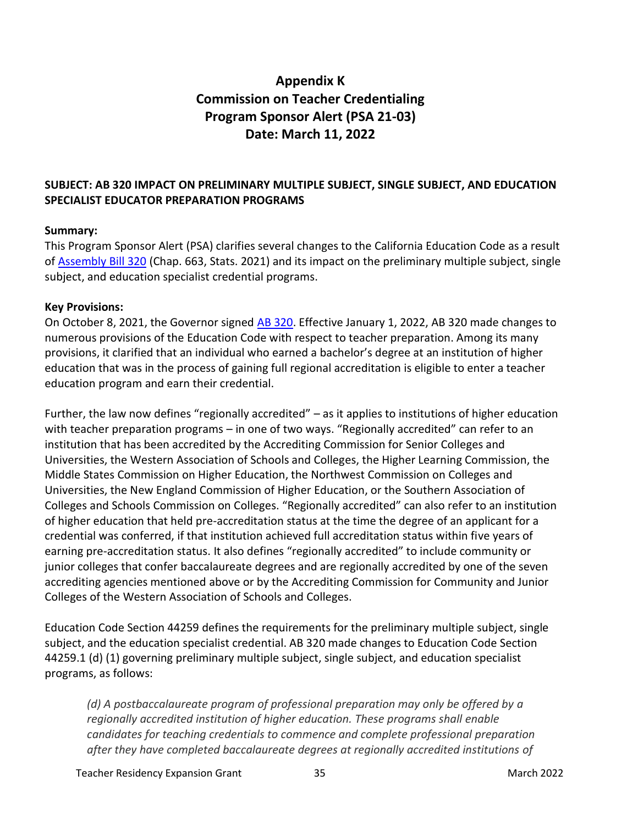# **Appendix K Commission on Teacher Credentialing Program Sponsor Alert (PSA 21-03) Date: March 11, 2022**

#### <span id="page-34-0"></span>**SUBJECT: AB 320 IMPACT ON PRELIMINARY MULTIPLE SUBJECT, SINGLE SUBJECT, AND EDUCATION SPECIALIST EDUCATOR PREPARATION PROGRAMS**

#### **Summary:**

This Program Sponsor Alert (PSA) clarifies several changes to the California Education Code as a result of [Assembly Bill](https://leginfo.legislature.ca.gov/faces/billTextClient.xhtml?bill_id=202120220AB320) 320 (Chap. 663, Stats. 2021) and its impact on the preliminary multiple subject, single subject, and education specialist credential programs.

#### **Key Provisions:**

On October 8, 2021, the Governor signed [AB 320.](https://leginfo.legislature.ca.gov/faces/billTextClient.xhtml?bill_id=202120220AB320) Effective January 1, 2022, AB 320 made changes to numerous provisions of the Education Code with respect to teacher preparation. Among its many provisions, it clarified that an individual who earned a bachelor's degree at an institution of higher education that was in the process of gaining full regional accreditation is eligible to enter a teacher education program and earn their credential.

Further, the law now defines "regionally accredited" – as it applies to institutions of higher education with teacher preparation programs - in one of two ways. "Regionally accredited" can refer to an institution that has been accredited by the Accrediting Commission for Senior Colleges and Universities, the Western Association of Schools and Colleges, the Higher Learning Commission, the Middle States Commission on Higher Education, the Northwest Commission on Colleges and Universities, the New England Commission of Higher Education, or the Southern Association of Colleges and Schools Commission on Colleges. "Regionally accredited" can also refer to an institution of higher education that held pre-accreditation status at the time the degree of an applicant for a credential was conferred, if that institution achieved full accreditation status within five years of earning pre-accreditation status. It also defines "regionally accredited" to include community or junior colleges that confer baccalaureate degrees and are regionally accredited by one of the seven accrediting agencies mentioned above or by the Accrediting Commission for Community and Junior Colleges of the Western Association of Schools and Colleges.

Education Code Section 44259 defines the requirements for the preliminary multiple subject, single subject, and the education specialist credential. AB 320 made changes to Education Code Section 44259.1 (d) (1) governing preliminary multiple subject, single subject, and education specialist programs, as follows:

*(d) A postbaccalaureate program of professional preparation may only be offered by a regionally accredited institution of higher education. These programs shall enable candidates for teaching credentials to commence and complete professional preparation after they have completed baccalaureate degrees at regionally accredited institutions of* 

Teacher Residency Expansion Grant 35 March 2022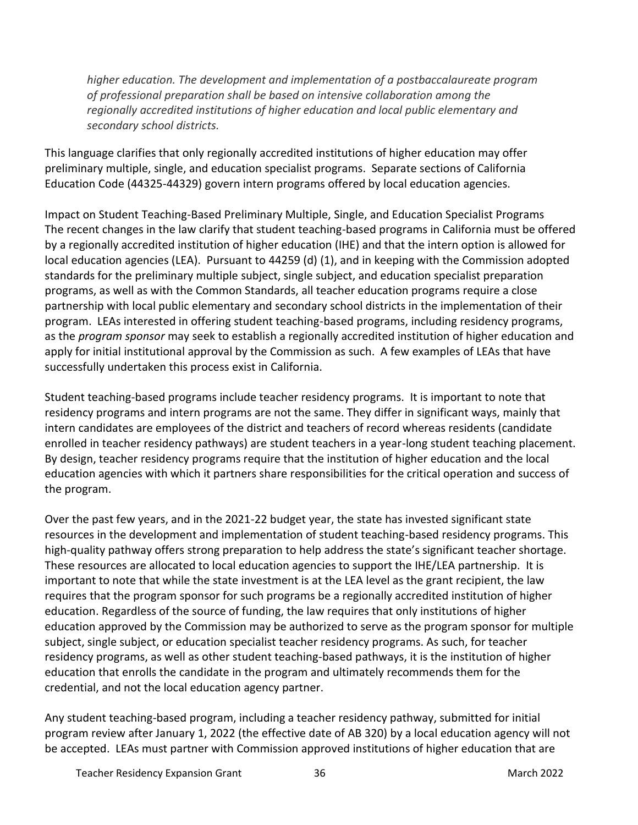*higher education. The development and implementation of a postbaccalaureate program of professional preparation shall be based on intensive collaboration among the regionally accredited institutions of higher education and local public elementary and secondary school districts.*

This language clarifies that only regionally accredited institutions of higher education may offer preliminary multiple, single, and education specialist programs. Separate sections of California Education Code (44325-44329) govern intern programs offered by local education agencies.

Impact on Student Teaching-Based Preliminary Multiple, Single, and Education Specialist Programs The recent changes in the law clarify that student teaching-based programs in California must be offered by a regionally accredited institution of higher education (IHE) and that the intern option is allowed for local education agencies (LEA). Pursuant to 44259 (d) (1), and in keeping with the Commission adopted standards for the preliminary multiple subject, single subject, and education specialist preparation programs, as well as with the Common Standards, all teacher education programs require a close partnership with local public elementary and secondary school districts in the implementation of their program. LEAs interested in offering student teaching-based programs, including residency programs, as the *program sponsor* may seek to establish a regionally accredited institution of higher education and apply for initial institutional approval by the Commission as such. A few examples of LEAs that have successfully undertaken this process exist in California.

Student teaching-based programs include teacher residency programs. It is important to note that residency programs and intern programs are not the same. They differ in significant ways, mainly that intern candidates are employees of the district and teachers of record whereas residents (candidate enrolled in teacher residency pathways) are student teachers in a year-long student teaching placement. By design, teacher residency programs require that the institution of higher education and the local education agencies with which it partners share responsibilities for the critical operation and success of the program.

Over the past few years, and in the 2021-22 budget year, the state has invested significant state resources in the development and implementation of student teaching-based residency programs. This high-quality pathway offers strong preparation to help address the state's significant teacher shortage. These resources are allocated to local education agencies to support the IHE/LEA partnership. It is important to note that while the state investment is at the LEA level as the grant recipient, the law requires that the program sponsor for such programs be a regionally accredited institution of higher education. Regardless of the source of funding, the law requires that only institutions of higher education approved by the Commission may be authorized to serve as the program sponsor for multiple subject, single subject, or education specialist teacher residency programs. As such, for teacher residency programs, as well as other student teaching-based pathways, it is the institution of higher education that enrolls the candidate in the program and ultimately recommends them for the credential, and not the local education agency partner.

Any student teaching-based program, including a teacher residency pathway, submitted for initial program review after January 1, 2022 (the effective date of AB 320) by a local education agency will not be accepted. LEAs must partner with Commission approved institutions of higher education that are